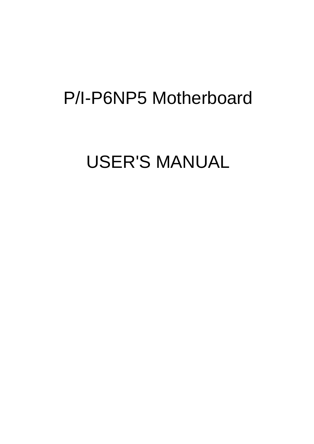# P/I-P6NP5 Motherboard

# USER'S MANUAL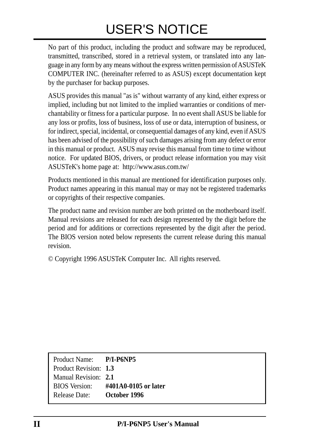# USER'S NOTICE

No part of this product, including the product and software may be reproduced, transmitted, transcribed, stored in a retrieval system, or translated into any language in any form by any means without the express written permission of ASUSTeK COMPUTER INC. (hereinafter referred to as ASUS) except documentation kept by the purchaser for backup purposes.

ASUS provides this manual "as is" without warranty of any kind, either express or implied, including but not limited to the implied warranties or conditions of merchantability or fitness for a particular purpose. In no event shall ASUS be liable for any loss or profits, loss of business, loss of use or data, interruption of business, or for indirect, special, incidental, or consequential damages of any kind, even if ASUS has been advised of the possibility of such damages arising from any defect or error in this manual or product. ASUS may revise this manual from time to time without notice. For updated BIOS, drivers, or product release information you may visit ASUSTeK's home page at: http://www.asus.com.tw/

Products mentioned in this manual are mentioned for identification purposes only. Product names appearing in this manual may or may not be registered trademarks or copyrights of their respective companies.

The product name and revision number are both printed on the motherboard itself. Manual revisions are released for each design represented by the digit before the period and for additions or corrections represented by the digit after the period. The BIOS version noted below represents the current release during this manual revision.

© Copyright 1996 ASUSTeK Computer Inc. All rights reserved.

| Product Name: P/I-P6NP5 |
|-------------------------|
| Product Revision: 1.3   |
| Manual Revision: 2.1    |
| $\#401A0-0105$ or later |
| October 1996            |
|                         |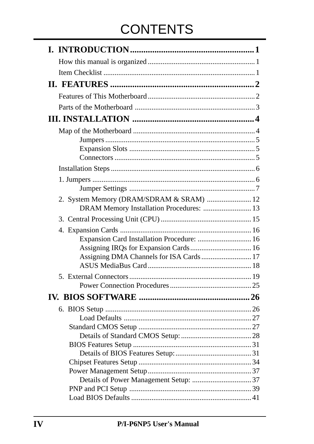# **CONTENTS**

| DRAM Memory Installation Procedures:  13                                                                                       |
|--------------------------------------------------------------------------------------------------------------------------------|
|                                                                                                                                |
| Expansion Card Installation Procedure:  16<br>Assigning IRQs for Expansion Cards 16<br>Assigning DMA Channels for ISA Cards 17 |
|                                                                                                                                |
|                                                                                                                                |
|                                                                                                                                |
|                                                                                                                                |
|                                                                                                                                |
|                                                                                                                                |
|                                                                                                                                |
|                                                                                                                                |
|                                                                                                                                |
|                                                                                                                                |
|                                                                                                                                |
|                                                                                                                                |
|                                                                                                                                |
|                                                                                                                                |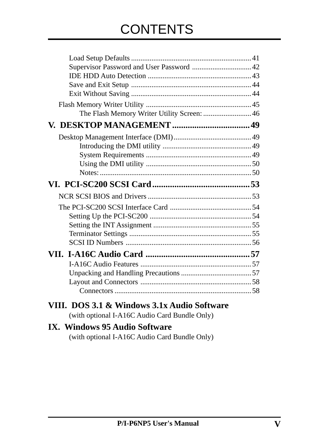| Supervisor Password and User Password  42     |  |
|-----------------------------------------------|--|
|                                               |  |
|                                               |  |
|                                               |  |
|                                               |  |
| The Flash Memory Writer Utility Screen:  46   |  |
|                                               |  |
|                                               |  |
|                                               |  |
|                                               |  |
|                                               |  |
|                                               |  |
|                                               |  |
|                                               |  |
|                                               |  |
|                                               |  |
|                                               |  |
|                                               |  |
|                                               |  |
|                                               |  |
|                                               |  |
|                                               |  |
|                                               |  |
|                                               |  |
| VIII. DOS 3.1 & Windows 3.1x Audio Software   |  |
| (with optional I-A16C Audio Card Bundle Only) |  |
|                                               |  |
| IX. Windows 95 Audio Software                 |  |

(with optional I-A16C Audio Card Bundle Only)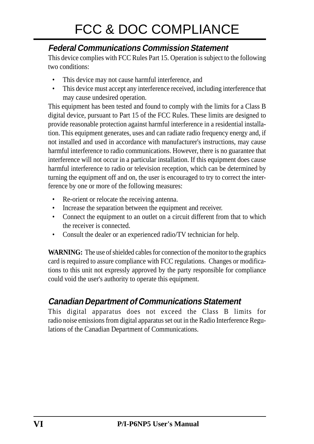### **Federal Communications Commission Statement**

This device complies with FCC Rules Part 15. Operation is subject to the following two conditions:

- This device may not cause harmful interference, and
- This device must accept any interference received, including interference that may cause undesired operation.

This equipment has been tested and found to comply with the limits for a Class B digital device, pursuant to Part 15 of the FCC Rules. These limits are designed to provide reasonable protection against harmful interference in a residential installation. This equipment generates, uses and can radiate radio frequency energy and, if not installed and used in accordance with manufacturer's instructions, may cause harmful interference to radio communications. However, there is no guarantee that interference will not occur in a particular installation. If this equipment does cause harmful interference to radio or television reception, which can be determined by turning the equipment off and on, the user is encouraged to try to correct the interference by one or more of the following measures:

- Re-orient or relocate the receiving antenna.
- Increase the separation between the equipment and receiver.
- Connect the equipment to an outlet on a circuit different from that to which the receiver is connected.
- Consult the dealer or an experienced radio/TV technician for help.

**WARNING:** The use of shielded cables for connection of the monitor to the graphics card is required to assure compliance with FCC regulations. Changes or modifications to this unit not expressly approved by the party responsible for compliance could void the user's authority to operate this equipment.

#### **Canadian Department of Communications Statement**

This digital apparatus does not exceed the Class B limits for radio noise emissions from digital apparatus set out in the Radio Interference Regulations of the Canadian Department of Communications.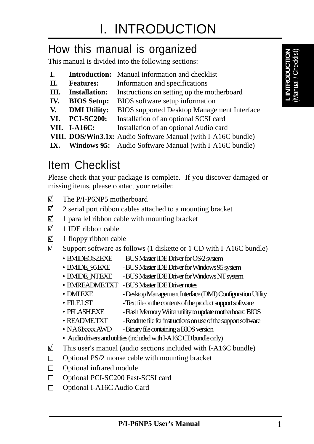### How this manual is organized

This manual is divided into the following sections:

- **I. Introduction:** Manual information and checklist
- **II. Features:** Information and specifications
- **III. Installation:** Instructions on setting up the motherboard
- **IV. BIOS Setup:** BIOS software setup information
- **V. DMI Utility:** BIOS supported Desktop Management Interface
- **VI. PCI-SC200:** Installation of an optional SCSI card
- **VII. I-A16C:** Installation of an optional Audio card
- **VIII. DOS/Win3.1x:** Audio Software Manual (with I-A16C bundle)
- **IX. Windows 95:** Audio Software Manual (with I-A16C bundle)

### Item Checklist

Please check that your package is complete. If you discover damaged or missing items, please contact your retailer.

- √ The P/I-P6NP5 motherboard
- √ 2 serial port ribbon cables attached to a mounting bracket
- $\overrightarrow{v}$  1 parallel ribbon cable with mounting bracket
- $\overline{w}$  1 IDE ribbon cable
- $\overrightarrow{v}$  1 floppy ribbon cable
- $\overline{\mathbb{Q}}$  Support software as follows (1 diskette or 1 CD with I-A16C bundle)
	- BMIDEOS2.EXE BUS Master IDE Driver for OS/2 system
	- BMIDE\_95.EXE BUS Master IDE Driver for Windows 95 system
	- BMIDE\_NT.EXE BUS Master IDE Driver for Windows NT system
	- BMREADME.TXT BUS Master IDE Driver notes
	- DMI.EXE Desktop Management Interface (DMI) Configuration Utility
	- FILELST Text file on the contents of the product support software
	- PFLASH.EXE Flash Memory Writer utility to update motherboard BIOS
	- README.TXT Readme file for instructions on use of the support software
	- NA6Ixxxx.AWD Binary file containing a BIOS version
	- Audio drivers and utilities (included with I-A16C CD bundle only)
- $\overline{v}$  This user's manual (audio sections included with I-A16C bundle)
- $\Box$ Optional PS/2 mouse cable with mounting bracket
- Optional infrared module  $\Box$
- $\Box$ Optional PCI-SC200 Fast-SCSI card
- $\Box$ Optional I-A16C Audio Card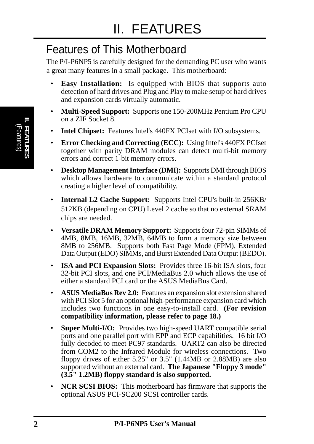### Features of This Motherboard

The P/I-P6NP5 is carefully designed for the demanding PC user who wants a great many features in a small package. This motherboard:

- **Easy Installation:** Is equipped with BIOS that supports auto detection of hard drives and Plug and Play to make setup of hard drives and expansion cards virtually automatic.
- **Multi-Speed Support:** Supports one 150-200MHz Pentium Pro CPU on a ZIF Socket 8.
- **Intel Chipset:** Features Intel's 440FX PCIset with I/O subsystems.
- **Error Checking and Correcting (ECC):** Using Intel's 440FX PCIset together with parity DRAM modules can detect multi-bit memory errors and correct 1-bit memory errors.
- **Desktop Management Interface (DMI):** Supports DMI through BIOS which allows hardware to communicate within a standard protocol creating a higher level of compatibility.
- **Internal L2 Cache Support:** Supports Intel CPU's built-in 256KB/ 512KB (depending on CPU) Level 2 cache so that no external SRAM chips are needed.
- **Versatile DRAM Memory Support:** Supports four 72-pin SIMMs of 4MB, 8MB, 16MB, 32MB, 64MB to form a memory size between 8MB to 256MB. Supports both Fast Page Mode (FPM), Extended Data Output (EDO) SIMMs, and Burst Extended Data Output (BEDO).
- **ISA and PCI Expansion Slots:** Provides three 16-bit ISA slots, four 32-bit PCI slots, and one PCI/MediaBus 2.0 which allows the use of either a standard PCI card or the ASUS MediaBus Card.
- **ASUS MediaBus Rev 2.0:** Features an expansion slot extension shared with PCI Slot 5 for an optional high-performance expansion card which includes two functions in one easy-to-install card. **(For revision compatibility information, please refer to page 18.)**
- **Super Multi-I/O:** Provides two high-speed UART compatible serial ports and one parallel port with EPP and ECP capabilities. 16 bit I/O fully decoded to meet PC97 standards. UART2 can also be directed from COM2 to the Infrared Module for wireless connections. Two floppy drives of either 5.25" or 3.5" (1.44MB or 2.88MB) are also supported without an external card. **The Japanese "Floppy 3 mode" (3.5" 1.2MB) floppy standard is also supported.**
- **NCR SCSI BIOS:** This motherboard has firmware that supports the optional ASUS PCI-SC200 SCSI controller cards.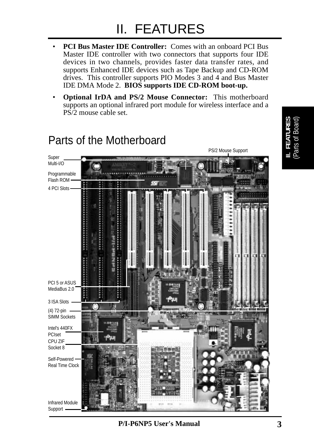- **PCI Bus Master IDE Controller:** Comes with an onboard PCI Bus Master IDE controller with two connectors that supports four IDE devices in two channels, provides faster data transfer rates, and supports Enhanced IDE devices such as Tape Backup and CD-ROM drives. This controller supports PIO Modes 3 and 4 and Bus Master IDE DMA Mode 2. **BIOS supports IDE CD-ROM boot-up.**
- **Optional IrDA and PS/2 Mouse Connector:** This motherboard supports an optional infrared port module for wireless interface and a PS/2 mouse cable set.

Parts of the Motherboard

### Intel's 440FX PCIset CPU ZIF Socket 8 PCI 5 or ASUS MediaBus 2.0 4 PCI Slots Super Multi-I/O Programmable Flash ROM (4) 72-pin SIMM Sockets 3 ISA Slots Self-Powered Real Time Clock Infrared Module Support . PS/2 Mouse Support

**P/I-P6NP5 User's Manual 3**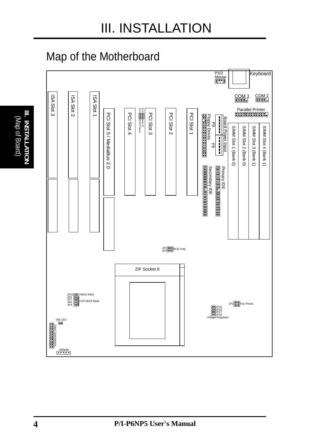### Map of the Motherboard



(Map of Board) **III. INSTALLATION**

III. INSTALLATION<br>(Map of Board)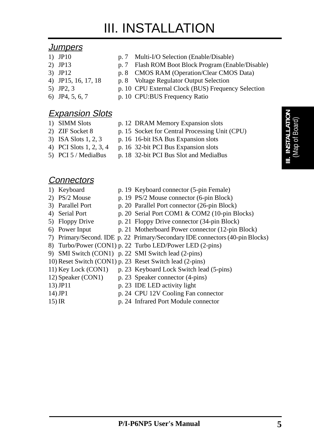# III. INSTALLATION

#### **Jumpers**

- 
- 
- 
- 
- 
- 
- 1) JP10 p. 7 Multi-I/O Selection (Enable/Disable)
- 2) JP13 p. 7 Flash ROM Boot Block Program (Enable/Disable)
- 3) JP12 p. 8 CMOS RAM (Operation/Clear CMOS Data)
- 4) JP15, 16, 17, 18 p. 8 Voltage Regulator Output Selection
- 5) JP2, 3 p. 10 CPU External Clock (BUS) Frequency Selection
- 6) JP4, 5, 6, 7 p. 10 CPU:BUS Frequency Ratio

#### Expansion Slots

- 
- 
- 
- 
- 1) SIMM Slots p. 12 DRAM Memory Expansion slots
- 2) ZIF Socket 8 p. 15 Socket for Central Processing Unit (CPU)
- 3) ISA Slots  $1, 2, 3$  p. 16 16-bit ISA Bus Expansion slots
- 4) PCI Slots 1, 2, 3, 4 p. 16 32-bit PCI Bus Expansion slots
- 5) PCI 5 / MediaBus p. 18 32-bit PCI Bus Slot and MediaBus

#### **Connectors**

- 1) Keyboard p. 19 Keyboard connector (5-pin Female)
- 2) PS/2 Mouse p. 19 PS/2 Mouse connector (6-pin Block)
- 3) Parallel Port p. 20 Parallel Port connector (26-pin Block)
- 4) Serial Port p. 20 Serial Port COM1 & COM2 (10-pin Blocks)
- 5) Floppy Drive p. 21 Floppy Drive connector (34-pin Block)
- 6) Power Input p. 21 Motherboard Power connector (12-pin Block)
- 7) Primary/Second. IDE p. 22 Primary/Secondary IDE connectors (40-pin Blocks)
- 8) Turbo/Power (CON1) p. 22 Turbo LED/Power LED (2-pins)
- 9) SMI Switch (CON1) p. 22 SMI Switch lead (2-pins)
- 10) Reset Switch (CON1) p. 23 Reset Switch lead (2-pins)
- 11) Key Lock (CON1) p. 23 Keyboard Lock Switch lead (5-pins)
- 12) Speaker (CON1) p. 23 Speaker connector (4-pins)
- 
- 13) JP11 p. 23 IDE LED activity light 14) JP1 p. 24 CPU 12V Cooling Fan connector
- 
- 15) IR p. 24 Infrared Port Module connector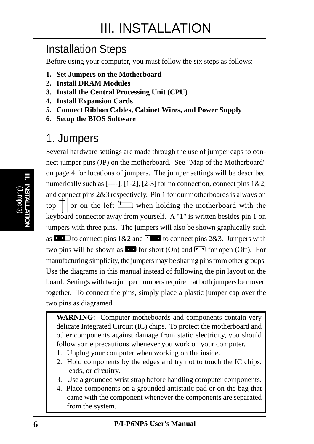### Installation Steps

Before using your computer, you must follow the six steps as follows:

- **1. Set Jumpers on the Motherboard**
- **2. Install DRAM Modules**
- **3. Install the Central Processing Unit (CPU)**
- **4. Install Expansion Cards**
- **5. Connect Ribbon Cables, Cabinet Wires, and Power Supply**
- **6. Setup the BIOS Software**

### 1. Jumpers

Several hardware settings are made through the use of jumper caps to connect jumper pins (JP) on the motherboard. See "Map of the Motherboard" on page 4 for locations of jumpers. The jumper settings will be described numerically such as  $[--1]$ ,  $[1-2]$ ,  $[2-3]$  for no connection, connect pins  $1\&2$ , and connect pins 2&3 respectively. Pin 1 for our motherboards is always on top  $\left\lfloor \frac{p_{n+1}}{p} \right\rfloor$  or on the left  $\left\lfloor \frac{p_{n+1}}{p} \right\rfloor$  when holding the motherboard with the keyboard connector away from yourself. A "1" is written besides pin 1 on jumpers with three pins. The jumpers will also be shown graphically such as  $\bullet \bullet \bullet$  to connect pins  $1\&2$  and  $\bullet \bullet \bullet$  to connect pins 2&3. Jumpers with two pins will be shown as **for** short (On) and  $\boxed{a}$  for open (Off). For manufacturing simplicity, the jumpers may be sharing pins from other groups. Use the diagrams in this manual instead of following the pin layout on the board. Settings with two jumper numbers require that both jumpers be moved together. To connect the pins, simply place a plastic jumper cap over the two pins as diagramed.

**WARNING:** Computer motheboards and components contain very delicate Integrated Circuit (IC) chips. To protect the motherboard and other components against damage from static electricity, you should follow some precautions whenever you work on your computer.

- 1. Unplug your computer when working on the inside.
- 2. Hold components by the edges and try not to touch the IC chips, leads, or circuitry.
- 3. Use a grounded wrist strap before handling computer components.
- 4. Place components on a grounded antistatic pad or on the bag that came with the component whenever the components are separated from the system.

(Jumpers) **III. INSTALLATION**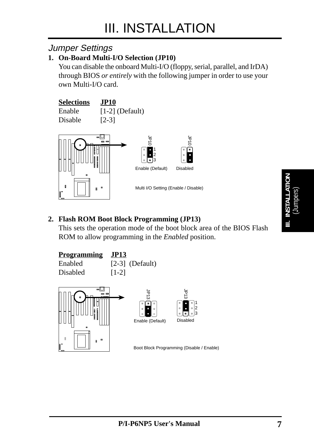### Jumper Settings

#### **1. On-Board Multi-I/O Selection (JP10)**

You can disable the onboard Multi-I/O (floppy, serial, parallel, and IrDA) through BIOS *or entirely* with the following jumper in order to use your own Multi-I/O card.





#### **2. Flash ROM Boot Block Programming (JP13)**

This sets the operation mode of the boot block area of the BIOS Flash ROM to allow programming in the *Enabled* position.



| Enabled  | $[2-3]$ (Default) |
|----------|-------------------|
| Disabled | $[1-2]$           |







Boot Block Programming (Disable / Enable)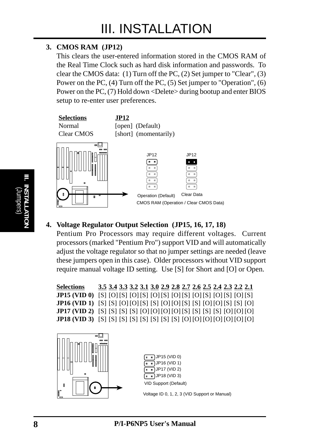#### **3. CMOS RAM (JP12)**

This clears the user-entered information stored in the CMOS RAM of the Real Time Clock such as hard disk information and passwords. To clear the CMOS data: (1) Turn off the PC, (2) Set jumper to "Clear", (3) Power on the PC, (4) Turn off the PC, (5) Set jumper to "Operation", (6) Power on the PC, (7) Hold down <Delete> during bootup and enter BIOS setup to re-enter user preferences.



# (Jumpers) **III. INSTALLATION**

#### **4. Voltage Regulator Output Selection (JP15, 16, 17, 18)**

Pentium Pro Processors may require different voltages. Current processors (marked "Pentium Pro") support VID and will automatically adjust the voltage regulator so that no jumper settings are needed (leave these jumpers open in this case). Older processors without VID support require manual voltage ID setting. Use [S] for Short and [O] or Open.

**Selections 3.5 3.4 3.3 3.2 3.1 3.0 2.9 2.8 2.7 2.6 2.5 2.4 2.3 2.2 2.1 JP15 (VID 0)** [S] [O] [S] [O] [S] [O] [S] [O] [S] [O] [S] [O] [S] [O] [S] **JP16 (VID 1)** [S] [S] [O] [O] [S] [S] [O] [O] [S] [S] [O] [O] [S] [S] [O] **JP17 (VID 2)** [S] [S] [S] [S] [O] [O] [O] [O] [S] [S] [S] [S] [O] [O] [O] **JP18 (VID 3)** [S] [S] [S] [S] [S] [S] [S] [S] [O] [O] [O] [O] [O] [O] [O]





Voltage ID 0, 1, 2, 3 (VID Support or Manual)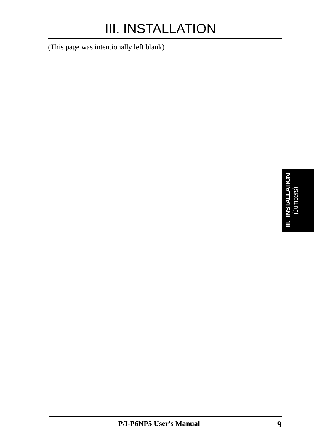# III. INSTALLATION

(This page was intentionally left blank)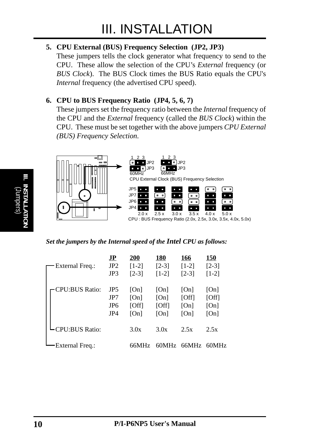#### **5. CPU External (BUS) Frequency Selection (JP2, JP3)**

These jumpers tells the clock generator what frequency to send to the CPU. These allow the selection of the CPU's *External* frequency (or *BUS Clock*). The BUS Clock times the BUS Ratio equals the CPU's *Internal* frequency (the advertised CPU speed).

#### **6. CPU to BUS Frequency Ratio (JP4, 5, 6, 7)**

These jumpers set the frequency ratio between the *Internal* frequency of the CPU and the *External* frequency (called the *BUS Clock*) within the CPU. These must be set together with the above jumpers *CPU External (BUS) Frequency Selection*.



#### *Set the jumpers by the Internal speed of the Intel CPU as follows:*

| — External Freq.:     | $\overline{\mathbf{J}}\mathbf{P}$ | 200     | <b>180</b> | 166         | <u>150</u> |
|-----------------------|-----------------------------------|---------|------------|-------------|------------|
|                       | JP <sub>2</sub>                   | $[1-2]$ | $[2-3]$    | $[1-2]$     | $[2-3]$    |
|                       | JP3                               | $[2-3]$ | $[1-2]$    | $[2-3]$     | $[1-2]$    |
| CPU:BUS Ratio:        | JP <sub>5</sub>                   | [On]    | [On]       | [On]        | [On]       |
|                       | JP7                               | [On]    | [On]       | [Off]       | [Off]      |
|                       | JP <sub>6</sub>                   | [Off]   | [Off]      | [On]        | [On]       |
|                       | JP4                               | [On]    | [On]       | [On]        | [On]       |
| <b>CPU:BUS Ratio:</b> |                                   | 3.0x    | 3.0x       | 2.5x        | 2.5x       |
| — External Freq.:     |                                   | 66MHz   |            | 60MHz 66MHz | 60MHz      |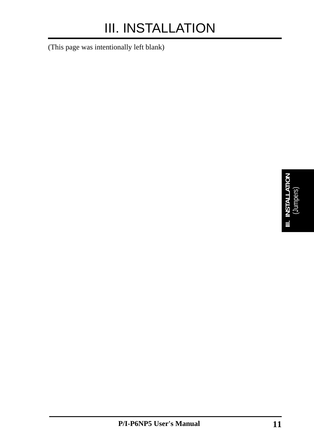# III. INSTALLATION

(This page was intentionally left blank)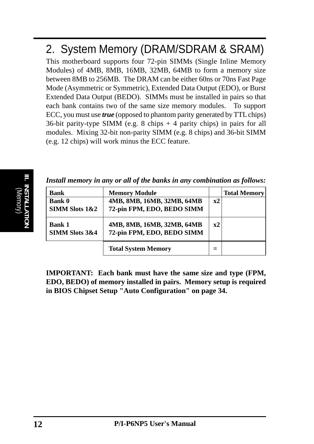### 2. System Memory (DRAM/SDRAM & SRAM)

This motherboard supports four 72-pin SIMMs (Single Inline Memory Modules) of 4MB, 8MB, 16MB, 32MB, 64MB to form a memory size between 8MB to 256MB. The DRAM can be either 60ns or 70ns Fast Page Mode (Asymmetric or Symmetric), Extended Data Output (EDO), or Burst Extended Data Output (BEDO). SIMMs must be installed in pairs so that each bank contains two of the same size memory modules. To support ECC, you must use *true* (opposed to phantom parity generated by TTL chips) 36-bit parity-type SIMM (e.g. 8 chips  $+$  4 parity chips) in pairs for all modules. Mixing 32-bit non-parity SIMM (e.g. 8 chips) and 36-bit SIMM (e.g. 12 chips) will work minus the ECC feature.

| <b>Bank</b>               | <b>Memory Module</b>       |                | <b>Total Memory</b> |
|---------------------------|----------------------------|----------------|---------------------|
| <b>Bank 0</b>             | 4MB, 8MB, 16MB, 32MB, 64MB | $\mathbf{x}^2$ |                     |
| <b>SIMM Slots 1&amp;2</b> | 72-pin FPM, EDO, BEDO SIMM |                |                     |
| <b>Bank 1</b>             | 4MB, 8MB, 16MB, 32MB, 64MB | $\mathbf{x}^2$ |                     |
| <b>SIMM Slots 3&amp;4</b> | 72-pin FPM, EDO, BEDO SIMM |                |                     |
|                           | <b>Total System Memory</b> |                |                     |

*Install memory in any or all of the banks in any combination as follows:*

**IMPORTANT: Each bank must have the same size and type (FPM, EDO, BEDO) of memory installed in pairs. Memory setup is required in BIOS Chipset Setup "Auto Configuration" on page 34.**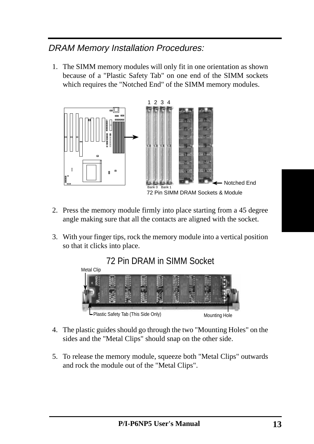### DRAM Memory Installation Procedures:

1. The SIMM memory modules will only fit in one orientation as shown because of a "Plastic Safety Tab" on one end of the SIMM sockets which requires the "Notched End" of the SIMM memory modules.



- 2. Press the memory module firmly into place starting from a 45 degree angle making sure that all the contacts are aligned with the socket.
- 3. With your finger tips, rock the memory module into a vertical position so that it clicks into place.



- 4. The plastic guides should go through the two "Mounting Holes" on the sides and the "Metal Clips" should snap on the other side.
- 5. To release the memory module, squeeze both "Metal Clips" outwards and rock the module out of the "Metal Clips".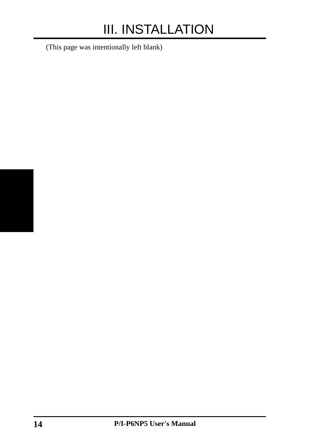# III. INSTALLATION

(This page was intentionally left blank)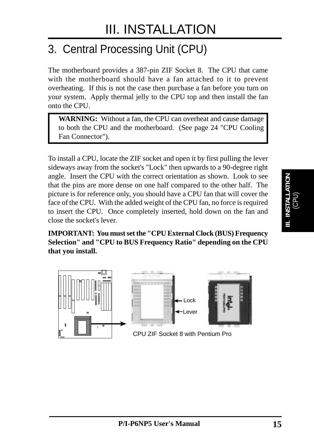### 3. Central Processing Unit (CPU)

The motherboard provides a 387-pin ZIF Socket 8. The CPU that came with the motherboard should have a fan attached to it to prevent overheating. If this is not the case then purchase a fan before you turn on your system. Apply thermal jelly to the CPU top and then install the fan onto the CPU.

**WARNING:** Without a fan, the CPU can overheat and cause damage to both the CPU and the motherboard. (See page 24 "CPU Cooling Fan Connector").

To install a CPU, locate the ZIF socket and open it by first pulling the lever sideways away from the socket's "Lock" then upwards to a 90-degree right angle. Insert the CPU with the correct orientation as shown. Look to see that the pins are more dense on one half compared to the other half. The picture is for reference only, you should have a CPU fan that will cover the face of the CPU. With the added weight of the CPU fan, no force is required to insert the CPU. Once completely inserted, hold down on the fan and close the socket's lever.

**IMPORTANT: You must set the "CPU External Clock (BUS) Frequency Selection" and "CPU to BUS Frequency Ratio" depending on the CPU that you install.**



(CPU) **III. INSTALLATION**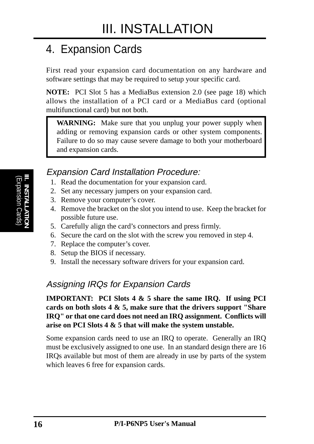### 4. Expansion Cards

First read your expansion card documentation on any hardware and software settings that may be required to setup your specific card.

**NOTE:** PCI Slot 5 has a MediaBus extension 2.0 (see page 18) which allows the installation of a PCI card or a MediaBus card (optional multifunctional card) but not both.

**WARNING:** Make sure that you unplug your power supply when adding or removing expansion cards or other system components. Failure to do so may cause severe damage to both your motherboard and expansion cards.

#### Expansion Card Installation Procedure:

- 1. Read the documentation for your expansion card.
- 2. Set any necessary jumpers on your expansion card.
- 3. Remove your computer's cover.
- 4. Remove the bracket on the slot you intend to use. Keep the bracket for possible future use.
- 5. Carefully align the card's connectors and press firmly.
- 6. Secure the card on the slot with the screw you removed in step 4.
- 7. Replace the computer's cover.
- 8. Setup the BIOS if necessary.
- 9. Install the necessary software drivers for your expansion card.

#### Assigning IRQs for Expansion Cards

**IMPORTANT: PCI Slots 4 & 5 share the same IRQ. If using PCI cards on both slots 4 & 5, make sure that the drivers support "Share IRQ" or that one card does not need an IRQ assignment. Conflicts will arise on PCI Slots 4 & 5 that will make the system unstable.**

Some expansion cards need to use an IRQ to operate. Generally an IRQ must be exclusively assigned to one use. In an standard design there are 16 IRQs available but most of them are already in use by parts of the system which leaves 6 free for expansion cards.

**16 P/I-P6NP5 User's Manual**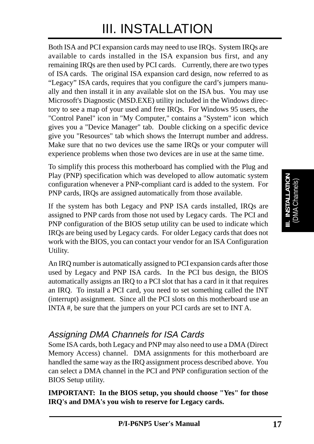# III. INSTALLATION

Both ISA and PCI expansion cards may need to use IRQs. System IRQs are available to cards installed in the ISA expansion bus first, and any remaining IRQs are then used by PCI cards. Currently, there are two types of ISA cards. The original ISA expansion card design, now referred to as "Legacy" ISA cards, requires that you configure the card's jumpers manually and then install it in any available slot on the ISA bus. You may use Microsoft's Diagnostic (MSD.EXE) utility included in the Windows directory to see a map of your used and free IRQs. For Windows 95 users, the "Control Panel" icon in "My Computer," contains a "System" icon which gives you a "Device Manager" tab. Double clicking on a specific device give you "Resources" tab which shows the Interrupt number and address. Make sure that no two devices use the same IRQs or your computer will experience problems when those two devices are in use at the same time.

To simplify this process this motherboard has complied with the Plug and Play (PNP) specification which was developed to allow automatic system configuration whenever a PNP-compliant card is added to the system. For PNP cards, IRQs are assigned automatically from those available.

If the system has both Legacy and PNP ISA cards installed, IRQs are assigned to PNP cards from those not used by Legacy cards. The PCI and PNP configuration of the BIOS setup utility can be used to indicate which IRQs are being used by Legacy cards. For older Legacy cards that does not work with the BIOS, you can contact your vendor for an ISA Configuration Utility.

An IRQ number is automatically assigned to PCI expansion cards after those used by Legacy and PNP ISA cards. In the PCI bus design, the BIOS automatically assigns an IRQ to a PCI slot that has a card in it that requires an IRQ. To install a PCI card, you need to set something called the INT (interrupt) assignment. Since all the PCI slots on this motherboard use an INTA #, be sure that the jumpers on your PCI cards are set to INT A.

#### Assigning DMA Channels for ISA Cards

Some ISA cards, both Legacy and PNP may also need to use a DMA (Direct Memory Access) channel. DMA assignments for this motherboard are handled the same way as the IRQ assignment process described above. You can select a DMA channel in the PCI and PNP configuration section of the BIOS Setup utility.

**IMPORTANT: In the BIOS setup, you should choose "Yes" for those IRQ's and DMA's you wish to reserve for Legacy cards.**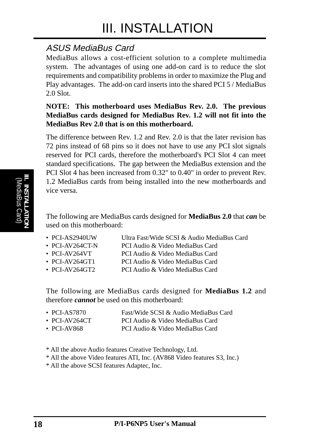### ASUS MediaBus Card

MediaBus allows a cost-efficient solution to a complete multimedia system. The advantages of using one add-on card is to reduce the slot requirements and compatibility problems in order to maximize the Plug and Play advantages. The add-on card inserts into the shared PCI 5 / MediaBus 2.0 Slot.

#### **NOTE: This motherboard uses MediaBus Rev. 2.0. The previous MediaBus cards designed for MediaBus Rev. 1.2 will not fit into the MediaBus Rev 2.0 that is on this motherboard.**

The difference between Rev. 1.2 and Rev. 2.0 is that the later revision has 72 pins instead of 68 pins so it does not have to use any PCI slot signals reserved for PCI cards, therefore the motherboard's PCI Slot 4 can meet standard specifications. The gap between the MediaBus extension and the PCI Slot 4 has been increased from 0.32" to 0.40" in order to prevent Rev. 1.2 MediaBus cards from being installed into the new motherboards and vice versa.

The following are MediaBus cards designed for **MediaBus 2.0** that *can* be used on this motherboard:

| $\cdot$ PCI-AS2940UW | Ultra Fast/Wide SCSI & Audio MediaBus Card |
|----------------------|--------------------------------------------|
| • PCI-AV264CT-N      | PCI Audio & Video MediaBus Card            |

- PCI-AV264VT PCI Audio & Video MediaBus Card
- PCI-AV264GT1 PCI Audio & Video MediaBus Card
- PCI-AV264GT2 PCI Audio & Video MediaBus Card

The following are MediaBus cards designed for **MediaBus 1.2** and therefore *cannot* be used on this motherboard:

| $\cdot$ PCI-AS7870 | Fast/Wide SCSI & Audio MediaBus Card |
|--------------------|--------------------------------------|
| • PCI-AV264CT      | PCI Audio & Video MediaBus Card      |
| $\cdot$ PCI-AV868  | PCI Audio & Video MediaBus Card      |

\* All the above Audio features Creative Technology, Ltd.

- \* All the above Video features ATI, Inc. (AV868 Video features S3, Inc.)
- \* All the above SCSI features Adaptec, Inc.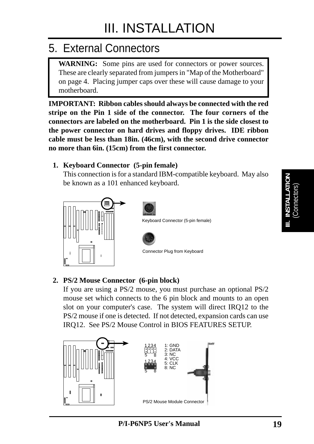### 5. External Connectors

**WARNING:** Some pins are used for connectors or power sources. These are clearly separated from jumpers in "Map of the Motherboard" on page 4. Placing jumper caps over these will cause damage to your motherboard.

**IMPORTANT: Ribbon cables should always be connected with the red stripe on the Pin 1 side of the connector. The four corners of the connectors are labeled on the motherboard. Pin 1 is the side closest to the power connector on hard drives and floppy drives. IDE ribbon cable must be less than 18in. (46cm), with the second drive connector no more than 6in. (15cm) from the first connector.**

#### **1. Keyboard Connector (5-pin female)**

This connection is for a standard IBM-compatible keyboard. May also be known as a 101 enhanced keyboard.





Keyboard Connector (5-pin female)

Connector Plug from Keyboard

#### **2. PS/2 Mouse Connector (6-pin block)**

If you are using a PS/2 mouse, you must purchase an optional PS/2 mouse set which connects to the 6 pin block and mounts to an open slot on your computer's case. The system will direct IRQ12 to the PS/2 mouse if one is detected. If not detected, expansion cards can use IRQ12. See PS/2 Mouse Control in BIOS FEATURES SETUP.

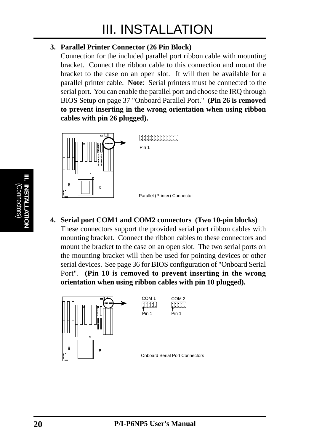#### **3. Parallel Printer Connector (26 Pin Block)**

Connection for the included parallel port ribbon cable with mounting bracket. Connect the ribbon cable to this connection and mount the bracket to the case on an open slot. It will then be available for a parallel printer cable. **Note**: Serial printers must be connected to the serial port. You can enable the parallel port and choose the IRQ through BIOS Setup on page 37 "Onboard Parallel Port." **(Pin 26 is removed to prevent inserting in the wrong orientation when using ribbon cables with pin 26 plugged).**



**ATHRONICATIO** Pin 1

Parallel (Printer) Connector

**4. Serial port COM1 and COM2 connectors (Two 10-pin blocks)**

These connectors support the provided serial port ribbon cables with mounting bracket. Connect the ribbon cables to these connectors and mount the bracket to the case on an open slot. The two serial ports on the mounting bracket will then be used for pointing devices or other serial devices. See page 36 for BIOS configuration of "Onboard Serial Port". **(Pin 10 is removed to prevent inserting in the wrong orientation when using ribbon cables with pin 10 plugged).**



(Connectors) **III. INSTALLATION**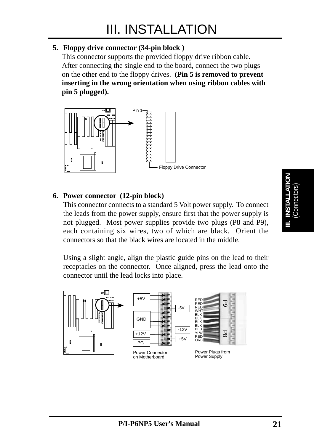#### **5. Floppy drive connector (34-pin block )**

This connector supports the provided floppy drive ribbon cable. After connecting the single end to the board, connect the two plugs on the other end to the floppy drives. **(Pin 5 is removed to prevent inserting in the wrong orientation when using ribbon cables with pin 5 plugged).**



#### **6. Power connector (12-pin block)**

This connector connects to a standard 5 Volt power supply. To connect the leads from the power supply, ensure first that the power supply is not plugged. Most power supplies provide two plugs (P8 and P9), each containing six wires, two of which are black. Orient the connectors so that the black wires are located in the middle.

Using a slight angle, align the plastic guide pins on the lead to their receptacles on the connector. Once aligned, press the lead onto the connector until the lead locks into place.

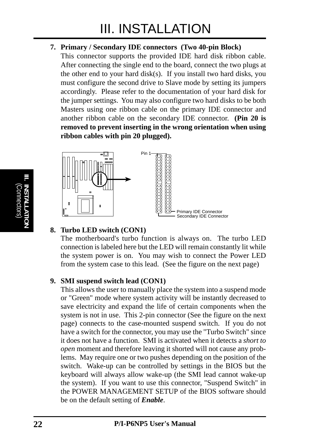#### **7. Primary / Secondary IDE connectors (Two 40-pin Block)**

This connector supports the provided IDE hard disk ribbon cable. After connecting the single end to the board, connect the two plugs at the other end to your hard disk(s). If you install two hard disks, you must configure the second drive to Slave mode by setting its jumpers accordingly. Please refer to the documentation of your hard disk for the jumper settings. You may also configure two hard disks to be both Masters using one ribbon cable on the primary IDE connector and another ribbon cable on the secondary IDE connector. **(Pin 20 is removed to prevent inserting in the wrong orientation when using ribbon cables with pin 20 plugged).**



#### **8. Turbo LED switch (CON1)**

The motherboard's turbo function is always on. The turbo LED connection is labeled here but the LED will remain constantly lit while the system power is on. You may wish to connect the Power LED from the system case to this lead. (See the figure on the next page)

#### **9. SMI suspend switch lead (CON1)**

This allows the user to manually place the system into a suspend mode or "Green" mode where system activity will be instantly decreased to save electricity and expand the life of certain components when the system is not in use. This 2-pin connector (See the figure on the next page) connects to the case-mounted suspend switch. If you do not have a switch for the connector, you may use the "Turbo Switch" since it does not have a function. SMI is activated when it detects a *short to open* moment and therefore leaving it shorted will not cause any problems. May require one or two pushes depending on the position of the switch. Wake-up can be controlled by settings in the BIOS but the keyboard will always allow wake-up (the SMI lead cannot wake-up the system). If you want to use this connector, "Suspend Switch" in the POWER MANAGEMENT SETUP of the BIOS software should be on the default setting of *Enable*.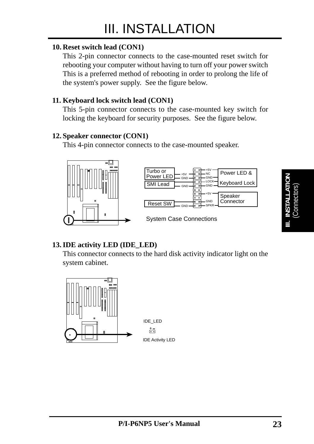#### **10. Reset switch lead (CON1)**

This 2-pin connector connects to the case-mounted reset switch for rebooting your computer without having to turn off your power switch This is a preferred method of rebooting in order to prolong the life of the system's power supply. See the figure below.

#### **11. Keyboard lock switch lead (CON1)**

This 5-pin connector connects to the case-mounted key switch for locking the keyboard for security purposes. See the figure below.

#### **12. Speaker connector (CON1)**

This 4-pin connector connects to the case-mounted speaker.





System Case Connections

#### **13. IDE activity LED (IDE\_LED)**

This connector connects to the hard disk activity indicator light on the system cabinet.

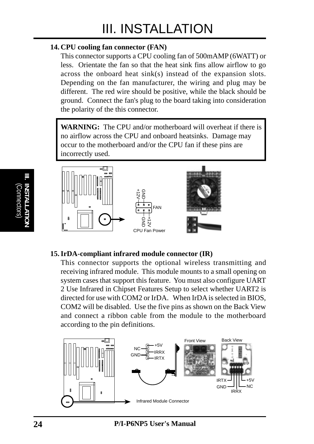#### **14. CPU cooling fan connector (FAN)**

This connector supports a CPU cooling fan of 500mAMP (6WATT) or less. Orientate the fan so that the heat sink fins allow airflow to go across the onboard heat sink(s) instead of the expansion slots. Depending on the fan manufacturer, the wiring and plug may be different. The red wire should be positive, while the black should be ground. Connect the fan's plug to the board taking into consideration the polarity of the this connector.

**WARNING:** The CPU and/or motherboard will overheat if there is no airflow across the CPU and onboard heatsinks. Damage may occur to the motherboard and/or the CPU fan if these pins are incorrectly used.





#### **15. IrDA-compliant infrared module connector (IR)**

This connector supports the optional wireless transmitting and receiving infrared module. This module mounts to a small opening on system cases that support this feature. You must also configure UART 2 Use Infrared in Chipset Features Setup to select whether UART2 is directed for use with COM2 or IrDA. When IrDA is selected in BIOS, COM2 will be disabled. Use the five pins as shown on the Back View and connect a ribbon cable from the module to the motherboard according to the pin definitions.

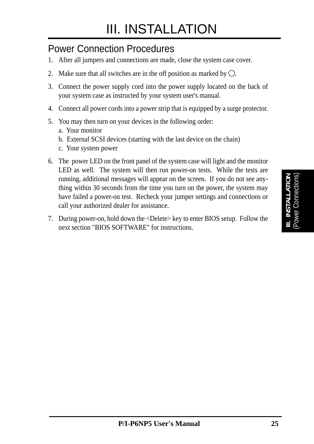### Power Connection Procedures

- 1. After all jumpers and connections are made, close the system case cover.
- 2. Make sure that all switches are in the off position as marked by  $\bigcirc$ .
- 3. Connect the power supply cord into the power supply located on the back of your system case as instructed by your system user's manual.
- 4. Connect all power cords into a power strip that is equipped by a surge protector.
- 5. You may then turn on your devices in the following order:
	- a. Your monitor
	- b. External SCSI devices (starting with the last device on the chain)
	- c. Your system power
- 6. The power LED on the front panel of the system case will light and the monitor LED as well. The system will then run power-on tests. While the tests are running, additional messages will appear on the screen. If you do not see anything within 30 seconds from the time you turn on the power, the system may have failed a power-on test. Recheck your jumper settings and connections or call your authorized dealer for assistance.
- 7. During power-on, hold down the <Delete> key to enter BIOS setup. Follow the next section "BIOS SOFTWARE" for instructions.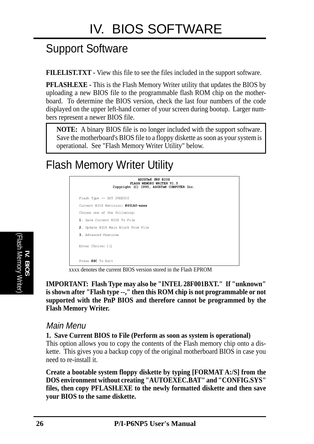# IV. BIOS SOFTWARE

### Support Software

**FILELIST.TXT -** View this file to see the files included in the support software.

**PFLASH.EXE -** This is the Flash Memory Writer utility that updates the BIOS by uploading a new BIOS file to the programmable flash ROM chip on the motherboard. To determine the BIOS version, check the last four numbers of the code displayed on the upper left-hand corner of your screen during bootup. Larger numbers represent a newer BIOS file.

**NOTE:** A binary BIOS file is no longer included with the support software. Save the motherboard's BIOS file to a floppy diskette as soon as your system is operational. See "Flash Memory Writer Utility" below.

### Flash Memory Writer Utility

| <b>ASUSTeK PNP BIOS</b><br>FLASH MEMORY WRITER V1.5<br>Copyright (C) 1995, ASUSTeK COMPUTER Inc. |
|--------------------------------------------------------------------------------------------------|
| Flash Type -- SST 29EE010                                                                        |
| Current BIOS Revision: #401A0-xxxx                                                               |
| Choose one of the following:                                                                     |
| 1. Save Current BIOS To File                                                                     |
| 2. Update BIOS Main Block From File                                                              |
| 3. Advanced Features                                                                             |
| Enter Choice: [1]                                                                                |
| Press ESC To Exit                                                                                |

xxxx denotes the current BIOS version stored in the Flash EPROM

**IMPORTANT: Flash Type may also be "INTEL 28F001BXT." If "unknown" is shown after "Flash type --," then this ROM chip is not programmable or not supported with the PnP BIOS and therefore cannot be programmed by the Flash Memory Writer.**

#### Main Menu

**1. Save Current BIOS to File (Perform as soon as system is operational)**

This option allows you to copy the contents of the Flash memory chip onto a diskette. This gives you a backup copy of the original motherboard BIOS in case you need to re-install it.

**Create a bootable system floppy diskette by typing [FORMAT A:/S] from the DOS environment without creating "AUTOEXEC.BAT" and "CONFIG.SYS" files, then copy PFLASH.EXE to the newly formatted diskette and then save your BIOS to the same diskette.**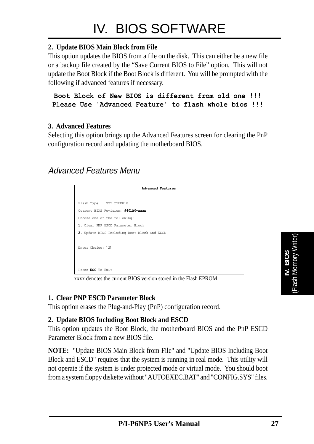#### **2. Update BIOS Main Block from File**

This option updates the BIOS from a file on the disk. This can either be a new file or a backup file created by the "Save Current BIOS to File" option. This will not update the Boot Block if the Boot Block is different. You will be prompted with the following if advanced features if necessary.

```
Boot Block of New BIOS is different from old one !!!
Please Use 'Advanced Feature' to flash whole bios !!!
```
#### **3. Advanced Features**

Selecting this option brings up the Advanced Features screen for clearing the PnP configuration record and updating the motherboard BIOS.

#### Advanced Features Menu

| <b>Advanced Features</b>                                        |
|-----------------------------------------------------------------|
|                                                                 |
| Flash Type -- SST 29EE010<br>Current BIOS Revision: #401A0-xxxx |
| Choose one of the following:                                    |
| 1. Clear PNP ESCD Parameter Block                               |
| 2. Update BIOS Including Boot Block and ESCD                    |
| Enter Choice: [2]                                               |
| Press ESC To Exit                                               |

xxxx denotes the current BIOS version stored in the Flash EPROM

#### **1. Clear PNP ESCD Parameter Block**

This option erases the Plug-and-Play (PnP) configuration record.

#### **2. Update BIOS Including Boot Block and ESCD**

This option updates the Boot Block, the motherboard BIOS and the PnP ESCD Parameter Block from a new BIOS file.

**NOTE:** "Update BIOS Main Block from File" and "Update BIOS Including Boot Block and ESCD" requires that the system is running in real mode. This utility will not operate if the system is under protected mode or virtual mode. You should boot from a system floppy diskette without "AUTOEXEC.BAT" and "CONFIG.SYS" files.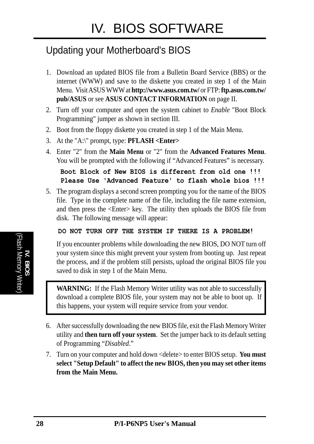### Updating your Motherboard's BIOS

- 1. Download an updated BIOS file from a Bulletin Board Service (BBS) or the internet (WWW) and save to the diskette you created in step 1 of the Main Menu. Visit ASUS WWW at **http://www.asus.com.tw/** or FTP: **ftp.asus.com.tw/ pub/ASUS** or see **ASUS CONTACT INFORMATION** on page II.
- 2. Turn off your computer and open the system cabinet to *Enable* "Boot Block Programming" jumper as shown in section III.
- 2. Boot from the floppy diskette you created in step 1 of the Main Menu.
- 3. At the "A:\" prompt, type: **PFLASH <Enter>**
- 4. Enter "2" from the **Main Menu** or "2" from the **Advanced Features Menu**. You will be prompted with the following if "Advanced Features" is necessary.

#### **Boot Block of New BIOS is different from old one !!! Please Use 'Advanced Feature' to flash whole bios !!!**

5. The program displays a second screen prompting you for the name of the BIOS file. Type in the complete name of the file, including the file name extension, and then press the <Enter> key. The utility then uploads the BIOS file from disk. The following message will appear:

#### **DO NOT TURN OFF THE SYSTEM IF THERE IS A PROBLEM!**

If you encounter problems while downloading the new BIOS, DO NOT turn off your system since this might prevent your system from booting up. Just repeat the process, and if the problem still persists, upload the original BIOS file you saved to disk in step 1 of the Main Menu.

**WARNING:** If the Flash Memory Writer utility was not able to successfully download a complete BIOS file, your system may not be able to boot up. If this happens, your system will require service from your vendor.

- 6. After successfully downloading the new BIOS file, exit the Flash Memory Writer utility and **then turn off your system**. Set the jumper back to its default setting of Programming "*Disabled*."
- 7. Turn on your computer and hold down <delete> to enter BIOS setup. **You must select "Setup Default" to affect the new BIOS, then you may set other items from the Main Menu.**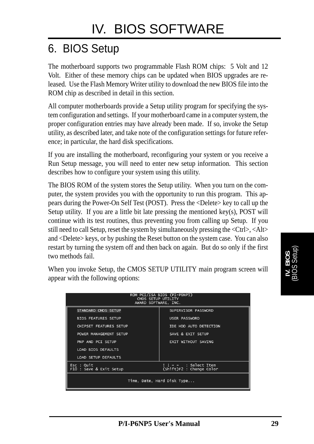### 6. BIOS Setup

The motherboard supports two programmable Flash ROM chips: 5 Volt and 12 Volt. Either of these memory chips can be updated when BIOS upgrades are released. Use the Flash Memory Writer utility to download the new BIOS file into the ROM chip as described in detail in this section.

All computer motherboards provide a Setup utility program for specifying the system configuration and settings. If your motherboard came in a computer system, the proper configuration entries may have already been made. If so, invoke the Setup utility, as described later, and take note of the configuration settings for future reference; in particular, the hard disk specifications.

If you are installing the motherboard, reconfiguring your system or you receive a Run Setup message, you will need to enter new setup information. This section describes how to configure your system using this utility.

The BIOS ROM of the system stores the Setup utility. When you turn on the computer, the system provides you with the opportunity to run this program. This appears during the Power-On Self Test (POST). Press the <Delete> key to call up the Setup utility. If you are a little bit late pressing the mentioned key(s), POST will continue with its test routines, thus preventing you from calling up Setup. If you still need to call Setup, reset the system by simultaneously pressing the  $\langle \text{Ctrl} \rangle$ ,  $\langle \text{Alt} \rangle$ and <Delete> keys, or by pushing the Reset button on the system case. You can also restart by turning the system off and then back on again. But do so only if the first two methods fail.

M PCI/ISA BIOS (PI-P<br>CMOS SETUP UTILITY<br>AWARD SOFTWARE, INC.  $(PI-P6NP5)$ STANDARD CMOS SETUP SUPERVISOR PASSWORD **BIOS FEATURES SETUP** USER PASSWORD CHIPSET FEATURES SETUP IDE HDD AUTO DETECTION POWER MANAGEMENT SETUP SAVE & EXIT SETUP PNP AND PCI SETUP EXIT WITHOUT SAVING LOAD BIOS DEFAULTS LOAD SETUP DEFAULTS Esc : Quit<br>F10 : Save & Exit Setup ↑ ↓ → ← : Select Item<br>(Shift)F2 : Change Color Time, Date, Hard Disk Type...

When you invoke Setup, the CMOS SETUP UTILITY main program screen will appear with the following options:

**IV. BIOS** (BIOS Setup)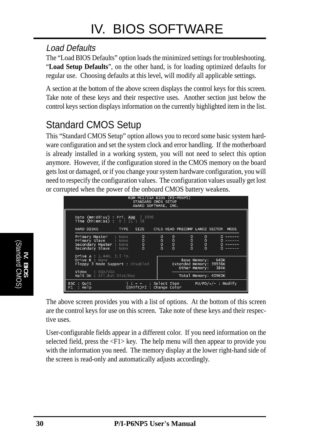#### Load Defaults

The "Load BIOS Defaults" option loads the minimized settings for troubleshooting. "**Load Setup Defaults**", on the other hand, is for loading optimized defaults for regular use. Choosing defaults at this level, will modify all applicable settings.

A section at the bottom of the above screen displays the control keys for this screen. Take note of these keys and their respective uses. Another section just below the control keys section displays information on the currently highlighted item in the list.

### Standard CMOS Setup

This "Standard CMOS Setup" option allows you to record some basic system hardware configuration and set the system clock and error handling. If the motherboard is already installed in a working system, you will not need to select this option anymore. However, if the configuration stored in the CMOS memory on the board gets lost or damaged, or if you change your system hardware configuration, you will need to respecify the configuration values. The configuration values usually get lost or corrupted when the power of the onboard CMOS battery weakens.

| ROM PCI/ISA BIOS (PI-P6NP5)<br>STANDARD CMOS SETUP<br>AWARD SOFTWARE, INC.                                                                |                                                                                                                                                                                                                         |  |  |
|-------------------------------------------------------------------------------------------------------------------------------------------|-------------------------------------------------------------------------------------------------------------------------------------------------------------------------------------------------------------------------|--|--|
| Date $(mm:dd:yy)$ : Fri, Aug $2$ 1996<br><b>Time (hh:mm:ss) :</b> $9 : 21 : 58$                                                           |                                                                                                                                                                                                                         |  |  |
| HARD DISKS<br><b>TYPE</b><br>SIZE                                                                                                         | CYLS HEAD PRECOMP LANDZ SECTOR<br><b>MODE</b>                                                                                                                                                                           |  |  |
| <b>Primary Master :</b> None<br>$\circ$<br>000<br><b>Primary Slave :</b> None<br>Secondary Master : None<br><b>Secondary Slave :</b> None | 0<br>0<br>0<br>0<br>$\begin{matrix} 0 & 0 \\ 0 & 0 \end{matrix}$<br>$\begin{matrix} 0 && 0 \\ 0 && 0 \end{matrix}$<br>$\overline{\phantom{a}}$ $\overline{\phantom{a}}$<br>$\Omega$<br>$\Omega$<br>$\Omega$<br>$\Omega$ |  |  |
| <b>Drive A :</b> 1.44M, 3.5 in.<br>Drive B : None<br>Floppy 3 Mode Support : Disabled<br>Video : EGA/VGA                                  | Base Memory: 640K<br>Extended Memory: 39936K<br>Other Memory: 384K                                                                                                                                                      |  |  |
| Halt On : All, But Disk/Key                                                                                                               | Total Memory: 40960K                                                                                                                                                                                                    |  |  |
| 1 l → ← : Select Item<br>ESC : Quit<br>(Shift)F2 : Change Color<br>: Help<br>F1                                                           | $PU/PD/+/-$ : Modify                                                                                                                                                                                                    |  |  |

The above screen provides you with a list of options. At the bottom of this screen are the control keys for use on this screen. Take note of these keys and their respective uses.

User-configurable fields appear in a different color. If you need information on the selected field, press the <F1> key. The help menu will then appear to provide you with the information you need. The memory display at the lower right-hand side of the screen is read-only and automatically adjusts accordingly.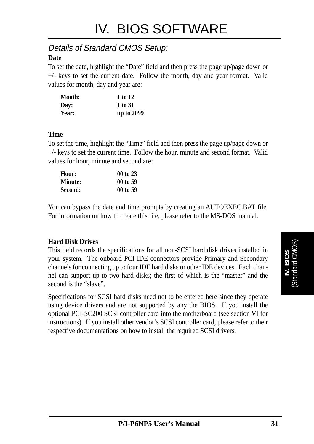#### Details of Standard CMOS Setup:

#### **Date**

To set the date, highlight the "Date" field and then press the page up/page down or +/- keys to set the current date. Follow the month, day and year format. Valid values for month, day and year are:

| Month: | 1 to 12    |
|--------|------------|
| Day:   | 1 to 31    |
| Year:  | up to 2099 |

#### **Time**

To set the time, highlight the "Time" field and then press the page up/page down or +/- keys to set the current time. Follow the hour, minute and second format. Valid values for hour, minute and second are:

| Hour:   | 00 to 23 |
|---------|----------|
| Minute: | 00 to 59 |
| Second: | 00 to 59 |

You can bypass the date and time prompts by creating an AUTOEXEC.BAT file. For information on how to create this file, please refer to the MS-DOS manual.

#### **Hard Disk Drives**

This field records the specifications for all non-SCSI hard disk drives installed in your system. The onboard PCI IDE connectors provide Primary and Secondary channels for connecting up to four IDE hard disks or other IDE devices. Each channel can support up to two hard disks; the first of which is the "master" and the second is the "slave".

Specifications for SCSI hard disks need not to be entered here since they operate using device drivers and are not supported by any the BIOS. If you install the optional PCI-SC200 SCSI controller card into the motherboard (see section VI for instructions). If you install other vendor's SCSI controller card, please refer to their respective documentations on how to install the required SCSI drivers.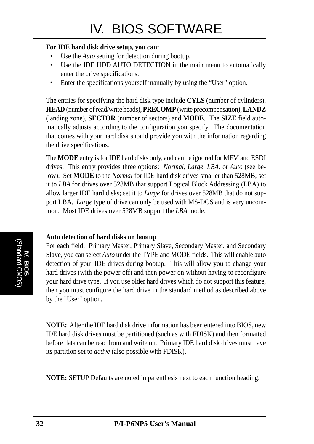#### **For IDE hard disk drive setup, you can:**

- Use the *Auto* setting for detection during bootup.
- Use the IDE HDD AUTO DETECTION in the main menu to automatically enter the drive specifications.
- Enter the specifications yourself manually by using the "User" option.

The entries for specifying the hard disk type include **CYLS** (number of cylinders), **HEAD** (number of read/write heads), **PRECOMP** (write precompensation), **LANDZ** (landing zone), **SECTOR** (number of sectors) and **MODE**. The **SIZE** field automatically adjusts according to the configuration you specify. The documentation that comes with your hard disk should provide you with the information regarding the drive specifications.

The **MODE** entry is for IDE hard disks only, and can be ignored for MFM and ESDI drives. This entry provides three options: *Normal, Large, LBA*, or *Auto* (see below). Set **MODE** to the *Normal* for IDE hard disk drives smaller than 528MB; set it to *LBA* for drives over 528MB that support Logical Block Addressing (LBA) to allow larger IDE hard disks; set it to *Large* for drives over 528MB that do not support LBA. *Large* type of drive can only be used with MS-DOS and is very uncommon. Most IDE drives over 528MB support the *LBA* mode.

#### **Auto detection of hard disks on bootup**

For each field: Primary Master, Primary Slave, Secondary Master, and Secondary Slave, you can select *Auto* under the TYPE and MODE fields. This will enable auto detection of your IDE drives during bootup. This will allow you to change your hard drives (with the power off) and then power on without having to reconfigure your hard drive type. If you use older hard drives which do not support this feature, then you must configure the hard drive in the standard method as described above by the "User" option.

**NOTE:** After the IDE hard disk drive information has been entered into BIOS, new IDE hard disk drives must be partitioned (such as with FDISK) and then formatted before data can be read from and write on. Primary IDE hard disk drives must have its partition set to *active* (also possible with FDISK).

**NOTE:** SETUP Defaults are noted in parenthesis next to each function heading.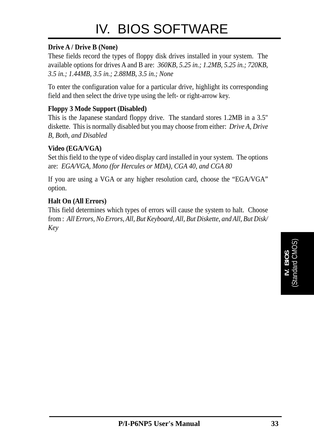# IV. BIOS SOFTWARE

#### **Drive A / Drive B (None)**

These fields record the types of floppy disk drives installed in your system. The available options for drives A and B are: *360KB, 5.25 in.; 1.2MB, 5.25 in.; 720KB, 3.5 in.; 1.44MB, 3.5 in.; 2.88MB, 3.5 in.; None*

To enter the configuration value for a particular drive, highlight its corresponding field and then select the drive type using the left- or right-arrow key.

#### **Floppy 3 Mode Support (Disabled)**

This is the Japanese standard floppy drive. The standard stores 1.2MB in a 3.5" diskette. This is normally disabled but you may choose from either: *Drive A, Drive B, Both, and Disabled*

#### **Video (EGA/VGA)**

Set this field to the type of video display card installed in your system. The options are: *EGA/VGA, Mono (for Hercules or MDA), CGA 40, and CGA 80*

If you are using a VGA or any higher resolution card, choose the "EGA/VGA" option.

#### **Halt On (All Errors)**

This field determines which types of errors will cause the system to halt. Choose from : *All Errors, No Errors, All, But Keyboard, All, But Diskette, and All, But Disk/ Key*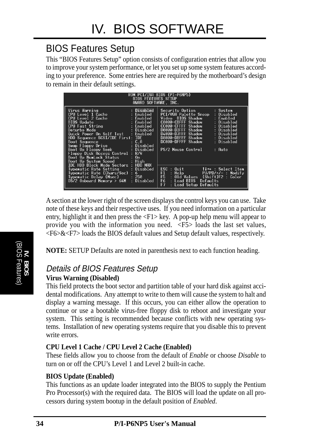### BIOS Features Setup

This "BIOS Features Setup" option consists of configuration entries that allow you to improve your system performance, or let you set up some system features according to your preference. Some entries here are required by the motherboard's design to remain in their default settings.

| ROM PCI/ISA BIOS (PI-P6NP5)<br><b>BIOS FEATURES SETUP</b><br>AWARD SOFTWARE. INC.                                                                                                                                                                                                                                                                                                                                                                                                                                                                                                                                                                                                                         |                                                                                                                                                                                                                                                                                                                                                                   |  |  |
|-----------------------------------------------------------------------------------------------------------------------------------------------------------------------------------------------------------------------------------------------------------------------------------------------------------------------------------------------------------------------------------------------------------------------------------------------------------------------------------------------------------------------------------------------------------------------------------------------------------------------------------------------------------------------------------------------------------|-------------------------------------------------------------------------------------------------------------------------------------------------------------------------------------------------------------------------------------------------------------------------------------------------------------------------------------------------------------------|--|--|
| : Disabled<br><u>Virus Warning III I</u><br>CPU Level 1 Cache<br>: Enabled<br>CPU Level 2 Cache<br>: Enabled<br>BIOS Update and the state of the state of the state of the state of the state of the state of the state of the<br>: Enabled<br>DIOS Opuate<br>CPU Fast String<br>: Enabled<br>Deturbo Mode in the control of the control of the control of the control of the control of the control of the<br>: Disabled :<br>Quick Power On Self Test : Enabled<br>HDD Sequence SCSI/IDE First: IDE<br>: C.A<br>Boot Sequence<br>Swap Floppy Drive<br>: Disabled<br>Boot Up Floppy Seek : Disabled<br>Floppy Disk Access Control : R/W<br>Boot Up NumLock Status : On<br>Boot Up System Speed<br>: High | Security Option –<br>: Sustem<br>PCI/VGA Palette Snoop<br>: Disabled<br>Video BIOS Shadow<br>: Enabled<br>:C8000-CBFFF Shadow<br>: Disabled<br>CC000-CFFFF Shadow<br>: Disabled<br>D0000-D3FFF Shadow<br>: Disabled<br>D4000-D7FFF Shadow<br>: Disabled<br>D8000-DBFFF Shadow<br>: Disabled<br>DC000-DFFFF Shadow<br>: Disabled<br>PS/2 Mouse Control —<br>: Auto |  |  |
| IDE HDD Block Mode Sectors : HDD MAX<br>Tupematic Rate Setting – L<br>: Disabled<br>Typematic Rate (Chars/Sec) : 6<br>Typematic Delay (Msec) : 250<br>$0S/2$ Onboard Memory > 64M<br>: Disabled                                                                                                                                                                                                                                                                                                                                                                                                                                                                                                           | ESC.<br>: Quit → t↓→← : Select Item<br>F1.<br>PU/PD/+/- : Modify<br><u>: Help __</u><br>F5<br>: Old Values (Shift)F2 : Color<br>F6<br>: Load BIOS<br>Defaults<br>F7<br>: Load Setup Defaults                                                                                                                                                                      |  |  |

A section at the lower right of the screen displays the control keys you can use. Take note of these keys and their respective uses. If you need information on a particular entry, highlight it and then press the  $\langle F1 \rangle$  key. A pop-up help menu will appear to provide you with the information you need. <F5> loads the last set values, <F6>&<F7> loads the BIOS default values and Setup default values, respectively.

**NOTE:** SETUP Defaults are noted in parenthesis next to each function heading.

#### Details of BIOS Features Setup **Virus Warning (Disabled)**

This field protects the boot sector and partition table of your hard disk against accidental modifications. Any attempt to write to them will cause the system to halt and display a warning message. If this occurs, you can either allow the operation to continue or use a bootable virus-free floppy disk to reboot and investigate your system. This setting is recommended because conflicts with new operating systems. Installation of new operating systems require that you disable this to prevent write errors.

#### **CPU Level 1 Cache / CPU Level 2 Cache (Enabled)**

These fields allow you to choose from the default of *Enable* or choose *Disable* to turn on or off the CPU's Level 1 and Level 2 built-in cache.

#### **BIOS Update (Enabled)**

This functions as an update loader integrated into the BIOS to supply the Pentium Pro Processor(s) with the required data. The BIOS will load the update on all processors during system bootup in the default position of *Enabled*.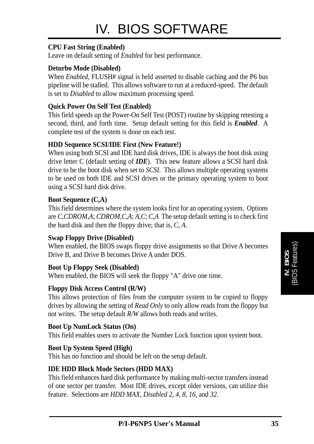#### **CPU Fast String (Enabled)**

Leave on default setting of *Enabled* for best performance.

#### **Deturbo Mode (Disabled)**

When *Enabled*, FLUSH# signal is held asserted to disable caching and the P6 bus pipeline will be stalled. This allows software to run at a reduced-speed. The default is set to *Disabled* to allow maximum processing speed.

#### **Quick Power On Self Test (Enabled)**

This field speeds up the Power-On Self Test (POST) routine by skipping retesting a second, third, and forth time. Setup default setting for this field is *Enabled*. A complete test of the system is done on each test.

#### **HDD Sequence SCSI/IDE First (New Feature!)**

When using both SCSI and IDE hard disk drives, IDE is always the boot disk using drive letter C (default setting of *IDE*). This new feature allows a SCSI hard disk drive to be the boot disk when set to *SCSI*. This allows multiple operating systems to be used on both IDE and SCSI drives or the primary operating system to boot using a SCSI hard disk drive.

#### **Boot Sequence (C,A)**

This field determines where the system looks first for an operating system. Options are *C,CDROM,A*; *CDROM,C,A*; *A,C*; *C,A* The setup default setting is to check first the hard disk and then the floppy drive; that is, *C, A*.

#### **Swap Floppy Drive (Disabled)**

When enabled, the BIOS swaps floppy drive assignments so that Drive A becomes Drive B, and Drive B becomes Drive A under DOS.

#### **Boot Up Floppy Seek (Disabled)**

When enabled, the BIOS will seek the floppy "A" drive one time.

#### **Floppy Disk Access Control (R/W)**

This allows protection of files from the computer system to be copied to floppy drives by allowing the setting of *Read Only* to only allow reads from the floppy but not writes. The setup default *R/W* allows both reads and writes.

#### **Boot Up NumLock Status (On)**

This field enables users to activate the Number Lock function upon system boot.

#### **Boot Up System Speed (High)**

This has no function and should be left on the setup default.

#### **IDE HDD Block Mode Sectors (HDD MAX)**

This field enhances hard disk performance by making multi-sector transfers instead of one sector per transfer. Most IDE drives, except older versions, can utilize this feature. Selections are *HDD MAX, Disabled 2, 4, 8, 16,* and *32*.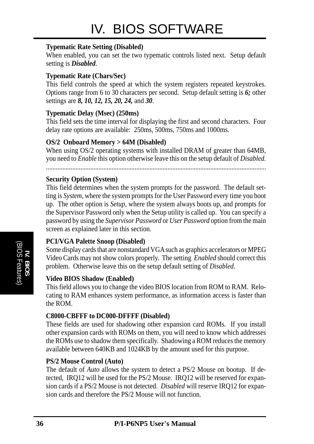#### **Typematic Rate Setting (Disabled)**

When enabled, you can set the two typematic controls listed next. Setup default setting is *Disabled*.

#### **Typematic Rate (Chars/Sec)**

This field controls the speed at which the system registers repeated keystrokes. Options range from 6 to 30 characters per second. Setup default setting is *6;* other settings are *8, 10, 12, 15, 20, 24,* and *30*.

#### **Typematic Delay (Msec) (250ms)**

This field sets the time interval for displaying the first and second characters. Four delay rate options are available: 250ms, 500ms, 750ms and 1000ms.

#### **OS/2 Onboard Memory > 64M (Disabled)**

When using OS/2 operating systems with installed DRAM of greater than 64MB, you need to *Enable* this option otherwise leave this on the setup default of *Disabled*.

......................................................................................................................................

#### **Security Option (System)**

This field determines when the system prompts for the password. The default setting is *System*, where the system prompts for the User Password every time you boot up. The other option is *Setup*, where the system always boots up, and prompts for the Supervisor Password only when the Setup utility is called up. You can specify a password by using the *Supervisor Password* or *User Password* option from the main screen as explained later in this section.

#### **PCI/VGA Palette Snoop (Disabled)**

Some display cards that are nonstandard VGA such as graphics accelerators or MPEG Video Cards may not show colors properly. The setting *Enabled* should correct this problem. Otherwise leave this on the setup default setting of *Disabled*.

#### **Video BIOS Shadow (Enabled)**

This field allows you to change the video BIOS location from ROM to RAM. Relocating to RAM enhances system performance, as information access is faster than the ROM.

#### **C8000-CBFFF to DC000-DFFFF (Disabled)**

These fields are used for shadowing other expansion card ROMs. If you install other expansion cards with ROMs on them, you will need to know which addresses the ROMs use to shadow them specifically. Shadowing a ROM reduces the memory available between 640KB and 1024KB by the amount used for this purpose.

#### **PS/2 Mouse Control (Auto)**

The default of *Auto* allows the system to detect a PS/2 Mouse on bootup. If detected, IRQ12 will be used for the PS/2 Mouse. IRQ12 will be reserved for expansion cards if a PS/2 Mouse is not detected. *Disabled* will reserve IRQ12 for expansion cards and therefore the PS/2 Mouse will not function.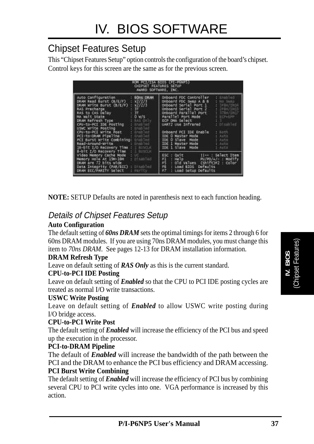### Chipset Features Setup

This "Chipset Features Setup" option controls the configuration of the board's chipset. Control keys for this screen are the same as for the previous screen.

| CHIPSET FEATURES SETUP<br>AWARD SOFTWARE, INC.                                                                                                                                                                                                                                                                                                                                                                                                                                                                                                                                                                                                                                                                                                                                       | ROM PCI/ISA BIOS (PI-P6NP5)                                                                                                                                                                                                                                                                                                                                                                                                                                                                                                                                                                                                                           |
|--------------------------------------------------------------------------------------------------------------------------------------------------------------------------------------------------------------------------------------------------------------------------------------------------------------------------------------------------------------------------------------------------------------------------------------------------------------------------------------------------------------------------------------------------------------------------------------------------------------------------------------------------------------------------------------------------------------------------------------------------------------------------------------|-------------------------------------------------------------------------------------------------------------------------------------------------------------------------------------------------------------------------------------------------------------------------------------------------------------------------------------------------------------------------------------------------------------------------------------------------------------------------------------------------------------------------------------------------------------------------------------------------------------------------------------------------------|
| Auto Configuration :<br><b>60ns DRAM</b><br>DRAM Read Burst (B/E/F) :<br>x2/2/3<br>x2/2/3<br>DRAM Write Burst (B/E/F)<br>$37 -$<br>RAS Precharge<br>37<br>RAS to CAS Delay<br>0 W5<br>MA WAIT STATE<br>DRAM Refresh Type<br><b>HAS CITY</b><br>CPU-to-PCI IDE Posting<br>Enabled:<br>USWC Write Posting<br>Enabled<br>CPU-to-PCI Write Post<br>: Enabled<br>PCI-to-ORAN Pipeline :<br><b>Enabled</b><br>PCI Burst Write Combining: Emabled<br>Control Enabled<br>Read-Around-write<br>16-bit 1/0 Recovery Time<br>$1.1$ SUSCLK<br>8-bit I/O Recovery Time<br><b>L BUSCLK</b><br>Video Memory Cache Mode<br>$2.104 + 0.002$<br>: Disabled<br>Memory Hole At 15M-15M<br>DRAM are 72 bits wide<br>Data Integrity (PAR/ECC) : Dismbled<br>DRAM ECC/PARITY Select<br><b><i>WATTEN</i></b> | <b>Unboard FDC Controller</b><br>Enabled<br>Onboard FDC Switz A & B<br>NU. SWID<br><b>JFBH/IROA</b><br>Onboard Serial Port 1<br>2FBH/IRG3<br>Onboard Serial Port 2<br>Onboard Parallel Port<br>STIM/DIG?<br>Parallel Port Mode<br>ECP+ERP<br>ECP DNA Select<br>UARTZ Use Infrared<br>: Disabled<br>Onboard RCI IDE Enable<br>$:$ Buth<br>IDE O Naster Node<br><b>CTIN</b><br>IDE 0 Slave Node<br>: Auto<br>IDE 1 Master Mode<br>$:$ Auto<br>IDE I slave<br>Mode<br>AIDS<br>: Quit<br>$  ++  $ Select Item<br>ESC<br>115<br>Help<br>$PU/PO/I+/-$ : Modify<br>: Old values (shift)F2 : Color<br>Defaults<br>: Load BIOS<br>#7<br>Defaults<br>Load Setup |

**NOTE:** SETUP Defaults are noted in parenthesis next to each function heading.

### Details of Chipset Features Setup

#### **Auto Configuration**

The default setting of *60ns DRAM* sets the optimal timings for items 2 through 6 for 60ns DRAM modules. If you are using 70ns DRAM modules, you must change this item to *70ns DRAM*. See pages 12-13 for DRAM installation information.

#### **DRAM Refresh Type**

Leave on default setting of *RAS Only* as this is the current standard.

#### **CPU-to-PCI IDE Posting**

Leave on default setting of *Enabled* so that the CPU to PCI IDE posting cycles are treated as normal I/O write transactions.

#### **USWC Write Posting**

Leave on default setting of *Enabled* to allow USWC write posting during I/O bridge access.

#### **CPU-to-PCI Write Post**

The default setting of *Enabled* will increase the efficiency of the PCI bus and speed up the execution in the processor.

#### **PCI-to-DRAM Pipeline**

The default of *Enabled* will increase the bandwidth of the path between the PCI and the DRAM to enhance the PCI bus efficiency and DRAM accessing. **PCI Burst Write Combining**

The default setting of *Enabled* will increase the efficiency of PCI bus by combining several CPU to PCI write cycles into one. VGA performance is increased by this action.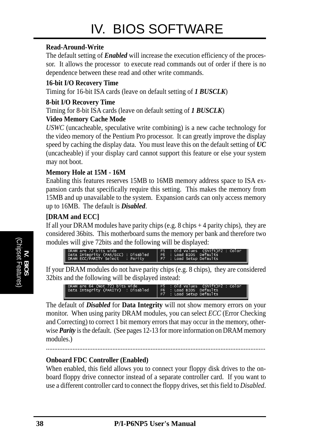#### **Read-Around-Write**

The default setting of *Enabled* will increase the execution efficiency of the processor. It allows the processor to execute read commands out of order if there is no dependence between these read and other write commands.

#### **16-bit I/O Recovery Time**

Timing for 16-bit ISA cards (leave on default setting of *1 BUSCLK*)

#### **8-bit I/O Recovery Time**

Timing for 8-bit ISA cards (leave on default setting of *1 BUSCLK*)

#### **Video Memory Cache Mode**

*USWC* (uncacheable, speculative write combining) is a new cache technology for the video memory of the Pentium Pro processor. It can greatly improve the display speed by caching the display data. You must leave this on the default setting of *UC* (uncacheable) if your display card cannot support this feature or else your system may not boot.

#### **Memory Hole at 15M - 16M**

Enabling this features reserves 15MB to 16MB memory address space to ISA expansion cards that specifically require this setting. This makes the memory from 15MB and up unavailable to the system. Expansion cards can only access memory up to 16MB. The default is *Disabled*.

#### **[DRAM and ECC]**

If all your DRAM modules have parity chips (e.g. 8 chips + 4 parity chips), they are considered 36bits. This motherboard sums the memory per bank and therefore two modules will give 72bits and the following will be displayed:



If your DRAM modules do not have parity chips (e.g. 8 chips), they are considered 32bits and the following will be displayed instead:

The default of *Disabled* for **Data Integrity** will not show memory errors on your monitor. When using parity DRAM modules, you can select *ECC* (Error Checking and Correcting) to correct 1 bit memory errors that may occur in the memory, otherwise *Parity* is the default. (See pages 12-13 for more information on DRAM memory modules.)

....................................................................................................................................

#### **Onboard FDC Controller (Enabled)**

When enabled, this field allows you to connect your floppy disk drives to the onboard floppy drive connector instead of a separate controller card. If you want to use a different controller card to connect the floppy drives, set this field to *Disabled*.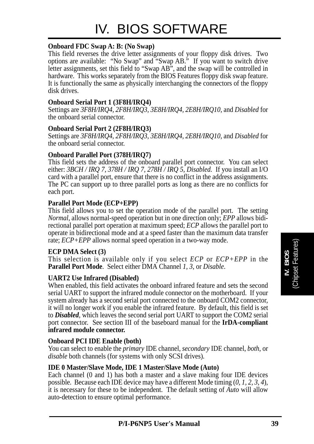#### **Onboard FDC Swap A: B: (No Swap)**

This field reverses the drive letter assignments of your floppy disk drives. Two options are available: "No Swap" and "Swap AB." If you want to switch drive letter assignments, set this field to "Swap AB", and the swap will be controlled in hardware. This works separately from the BIOS Features floppy disk swap feature. It is functionally the same as physically interchanging the connectors of the floppy disk drives.

#### **Onboard Serial Port 1 (3F8H/IRQ4)**

Settings are *3F8H/IRQ4*, *2F8H/IRQ3, 3E8H/IRQ4, 2E8H/IRQ10,* and *Disabled* for the onboard serial connector.

#### **Onboard Serial Port 2 (2F8H/IRQ3)**

Settings are *3F8H/IRQ4, 2F8H/IRQ3*, *3E8H/IRQ4, 2E8H/IRQ10,* and *Disabled* for the onboard serial connector.

#### **Onboard Parallel Port (378H/IRQ7)**

This field sets the address of the onboard parallel port connector. You can select either: *3BCH / IRQ 7, 378H / IRQ 7, 278H / IRQ 5, Disabled.* If you install an I/O card with a parallel port, ensure that there is no conflict in the address assignments. The PC can support up to three parallel ports as long as there are no conflicts for each port.

#### **Parallel Port Mode (ECP+EPP)**

This field allows you to set the operation mode of the parallel port. The setting *Normal*, allows normal-speed operation but in one direction only; *EPP* allows bidirectional parallel port operation at maximum speed; *ECP* allows the parallel port to operate in bidirectional mode and at a speed faster than the maximum data transfer rate; *ECP+EPP* allows normal speed operation in a two-way mode.

#### **ECP DMA Select (3)**

This selection is available only if you select *ECP* or *ECP+EPP* in the **Parallel Port Mode**. Select either DMA Channel *1, 3*, or *Disable*.

#### **UART2 Use Infrared (Disabled)**

When enabled, this field activates the onboard infrared feature and sets the second serial UART to support the infrared module connector on the motherboard. If your system already has a second serial port connected to the onboard COM2 connector, it will no longer work if you enable the infrared feature. By default, this field is set to *Disabled*, which leaves the second serial port UART to support the COM2 serial port connector. See section III of the baseboard manual for the **IrDA-compliant infrared module connector.**

#### **Onboard PCI IDE Enable (both)**

You can select to enable the *primary* IDE channel, *secondary* IDE channel, *both*, or *disable* both channels (for systems with only SCSI drives).

#### **IDE 0 Master/Slave Mode, IDE 1 Master/Slave Mode (Auto)**

Each channel (0 and 1) has both a master and a slave making four IDE devices possible. Because each IDE device may have a different Mode timing (*0, 1, 2, 3, 4*), it is necessary for these to be independent. The default setting of *Auto* will allow auto-detection to ensure optimal performance.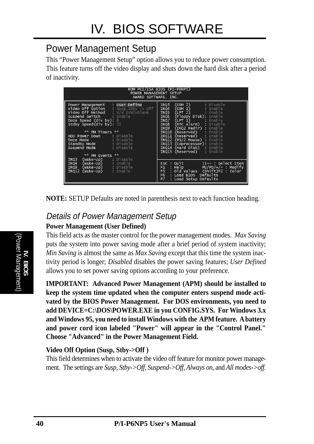### Power Management Setup

This "Power Management Setup" option allows you to reduce power consumption. This feature turns off the video display and shuts down the hard disk after a period of inactivity.

| ROM PCI/ISA BIOS (PI-P6NP5)<br>POWER MANAGEMENT SETUP<br>AWARD SOFTWARE, INC.                                                                                                                                                                       |                                                                                                                                                                                                                                            |  |  |  |
|-----------------------------------------------------------------------------------------------------------------------------------------------------------------------------------------------------------------------------------------------------|--------------------------------------------------------------------------------------------------------------------------------------------------------------------------------------------------------------------------------------------|--|--|--|
| : User Define<br>Power Management<br><b>Video Off Option :</b> $\overline{\text{susp}}$ , $\text{Stby} \rightarrow \text{Off}$<br>Video Off Method : V/H SYNC+Blank<br>Suspend Switch : Enable<br>Doze Speed (div by): 8<br>Stdby Speed(div by): 32 | $\overline{COM2)}$<br>: Disable<br>IRQ3<br>$\text{COM 1)}$ : Enable<br>IRQ4<br>$(LPT 2)$ : Enable<br>IRQ5<br>(Floppy Disk): Enable<br>IRQ6<br>$(LPT 1)$ : Enable<br>IRQ7<br>(RTC Alarm) : Disable<br>IRQ8<br>(IRQ2 Redir) : Enable<br>IRQ9 |  |  |  |
| $*$ PM Timers $**$<br>HDD Power Down : Disable<br>Doze Mode : Disable<br>Standby Mode : Disable<br>Suspend Mode <b>Suspend</b><br>$\overline{\phantom{a}}$ : Disable                                                                                | IRO10<br>(Reserved) : Enable<br>IRQ11 (Reserved) : Enable<br>IRQ12 (PS/2 Mouse) : Enable<br>IRQ13 (Coprocessor): Enable<br>IRQ14 (Hard Disk) : Enable<br>IRQ15 (Reserved) : Enable                                                         |  |  |  |
| ** PM Events **<br>(wake-Up) : Disable<br>IRQ3<br>(wake-Up) : Enable<br>IRQ4<br>(wake-Up) : Disable<br>IRQ8<br>IRQ12 (Wake-Up) : Enable                                                                                                             | $\sqrt{1-x}$ : Select Item<br>ESC : Ouit<br>PU/PD/+/- : Modify<br>F1 : Help<br>F5.<br>: Old Values (Shift)F2 : Color<br>F6<br>: Load BIOS Defaults<br>: Load Setup Defaults<br>FZ.                                                         |  |  |  |

**NOTE:** SETUP Defaults are noted in parenthesis next to each function heading.

#### Details of Power Management Setup **Power Management (User Defined)**

This field acts as the master control for the power management modes. *Max Saving* puts the system into power saving mode after a brief period of system inactivity; *Min Saving* is almost the same as *Max Saving* except that this time the system inactivity period is longer; *Disabled* disables the power saving features; *User Defined* allows you to set power saving options according to your preference.

**IMPORTANT: Advanced Power Management (APM) should be installed to keep the system time updated when the computer enters suspend mode activated by the BIOS Power Management. For DOS environments, you need to add DEVICE=C:\DOS\POWER.EXE in you CONFIG.SYS. For Windows 3.x and Windows 95, you need to install Windows with the APM feature. A battery and power cord icon labeled "Power" will appear in the "Control Panel." Choose "Advanced" in the Power Management Field.**

#### **Video Off Option (Susp, Stby->Off )**

This field determines when to activate the video off feature for monitor power management. The settings are *Susp, Stby->Off, Suspend->Off, Always on,* and *All modes->off.*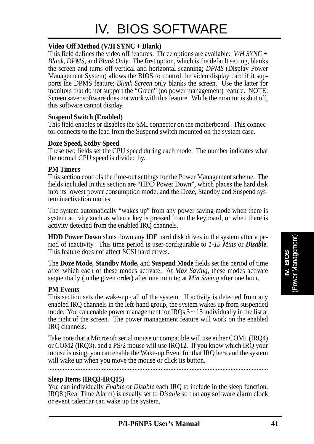#### **Video Off Method (V/H SYNC + Blank)**

This field defines the video off features. Three options are available: *V/H SYNC + Blank, DPMS,* and *Blank Only*. The first option, which is the default setting, blanks the screen and turns off vertical and horizontal scanning; *DPMS* (Display Power Management System) allows the BIOS to control the video display card if it supports the DPMS feature; *Blank Screen* only blanks the screen. Use the latter for monitors that do not support the "Green" (no power management) feature. NOTE: Screen saver software does not work with this feature. While the monitor is shut off, this software cannot display.

#### **Suspend Switch (Enabled)**

This field enables or disables the SMI connector on the motherboard. This connector connects to the lead from the Suspend switch mounted on the system case.

#### **Doze Speed, Stdby Speed**

These two fields set the CPU speed during each mode. The number indicates what the normal CPU speed is divided by.

#### **PM Timers**

This section controls the time-out settings for the Power Management scheme. The fields included in this section are "HDD Power Down", which places the hard disk into its lowest power consumption mode, and the Doze, Standby and Suspend system inactivation modes.

The system automatically "wakes up" from any power saving mode when there is system activity such as when a key is pressed from the keyboard, or when there is activity detected from the enabled IRQ channels.

**HDD Power Down** shuts down any IDE hard disk drives in the system after a period of inactivity. This time period is user-configurable to *1-15 Mins* or *Disable*. This feature does not affect SCSI hard drives.

The **Doze Mode, Standby Mode,** and **Suspend Mode** fields set the period of time after which each of these modes activate. At *Max Saving*, these modes activate sequentially (in the given order) after one minute; at *Min Saving* after one hour.

#### **PM Events**

This section sets the wake-up call of the system. If activity is detected from any enabled IRQ channels in the left-hand group, the system wakes up from suspended mode. You can enable power management for IRQs  $3 \sim 15$  individually in the list at the right of the screen. The power management feature will work on the enabled IRQ channels.

Take note that a Microsoft serial mouse or compatible will use either COM1 (IRQ4) or COM2 (IRQ3), and a PS/2 mouse will use IRQ12. If you know which IRQ your mouse is using, you can enable the Wake-up Event for that IRQ here and the system will wake up when you move the mouse or click its button.

.......................................................................................................................................

#### **Sleep Items (IRQ3-IRQ15)**

You can individually *Enable* or *Disable* each IRQ to include in the sleep function. IRQ8 (Real Time Alarm) is usually set to *Disable* so that any software alarm clock or event calendar can wake up the system.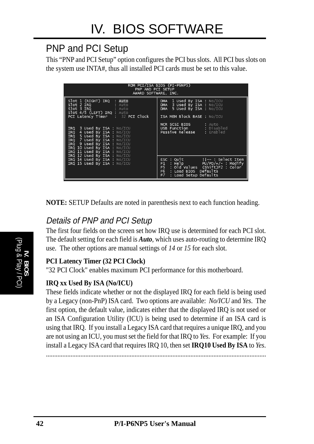### PNP and PCI Setup

This "PNP and PCI Setup" option configures the PCI bus slots. All PCI bus slots on the system use INTA#, thus all installed PCI cards must be set to this value.

| ROM PCI/ISA BIOS (PI-P6NP5)<br>PNP AND PCI SETUP<br>AWARD SOFTWARE, INC.                                                                                                                                                                                                                                         |                                                                                                                                                                                              |  |  |
|------------------------------------------------------------------------------------------------------------------------------------------------------------------------------------------------------------------------------------------------------------------------------------------------------------------|----------------------------------------------------------------------------------------------------------------------------------------------------------------------------------------------|--|--|
| Slot 1 (RIGHT) IRQ : Auto<br>Slot 2 IRQ : Auto<br>Slot 3 IRQ : Auto                                                                                                                                                                                                                                              | 1 Used By ISA : No/ICU<br>DMA<br>3 Used By ISA : No/ICU<br>DMA.<br>5 Used By ISA : No/ICU<br><b>DMA</b>                                                                                      |  |  |
| Slot 4/5 (LEFT) IRQ : Auto<br>PCI Latency Timer : 32 PCI Clock                                                                                                                                                                                                                                                   | ISA MEM Block BASE : NO/ICU                                                                                                                                                                  |  |  |
| IRQ 3 Used By ISA : No/ICU<br>4 Used By ISA : No/ICU<br>IRQ<br>IRQ 5 Used By ISA : No/ICU<br>IRQ 7 Used By ISA : No/ICU<br>IRQ 9 Used By ISA : NO/ICU<br>IRQ 10 Used By ISA : NO/ICU<br>IRQ 11 Used By ISA : NO/ICU<br>IRQ 12 Used By ISA : No/ICU<br>IRQ 14 Used By ISA : No/ICU<br>IRQ 15 Used By ISA : No/ICU | NCR SCSI BIOS : Auto<br>USB Function : Disabled<br>Passive Release : Enabled                                                                                                                 |  |  |
|                                                                                                                                                                                                                                                                                                                  | ESC : Quit<br>] →← : Select Item<br>PU/PD/+/- : Modify<br>: Help<br>F1<br>F5.<br>: Old Values (Shift)F2 : Color<br>F <sub>6</sub><br>Defaults<br>: Load BIOS<br>F7.<br>: Load Setup Defaults |  |  |

**NOTE:** SETUP Defaults are noted in parenthesis next to each function heading.

#### Details of PNP and PCI Setup

The first four fields on the screen set how IRQ use is determined for each PCI slot. The default setting for each field is *Auto*, which uses auto-routing to determine IRQ use. The other options are manual settings of *14* or *15* for each slot.

#### **PCI Latency Timer (32 PCI Clock)**

"32 PCI Clock" enables maximum PCI performance for this motherboard.

#### **IRQ xx Used By ISA (No/ICU)**

These fields indicate whether or not the displayed IRQ for each field is being used by a Legacy (non-PnP) ISA card. Two options are available: *No/ICU* and *Yes*. The first option, the default value, indicates either that the displayed IRQ is not used or an ISA Configuration Utility (ICU) is being used to determine if an ISA card is using that IRQ. If you install a Legacy ISA card that requires a unique IRQ, and you are not using an ICU, you must set the field for that IRQ to *Yes*. For example: If you install a Legacy ISA card that requires IRQ 10, then set **IRQ10 Used By ISA** to *Yes*.

......................................................................................................................................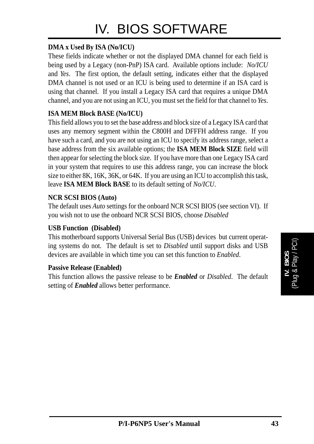#### **DMA x Used By ISA (No/ICU)**

These fields indicate whether or not the displayed DMA channel for each field is being used by a Legacy (non-PnP) ISA card. Available options include: *No/ICU* and *Yes*. The first option, the default setting, indicates either that the displayed DMA channel is not used or an ICU is being used to determine if an ISA card is using that channel. If you install a Legacy ISA card that requires a unique DMA channel, and you are not using an ICU, you must set the field for that channel to *Yes*.

#### **ISA MEM Block BASE (No/ICU)**

This field allows you to set the base address and block size of a Legacy ISA card that uses any memory segment within the C800H and DFFFH address range. If you have such a card, and you are not using an ICU to specify its address range, select a base address from the six available options; the **ISA MEM Block SIZE** field will then appear for selecting the block size. If you have more than one Legacy ISA card in your system that requires to use this address range, you can increase the block size to either 8K, 16K, 36K, or 64K. If you are using an ICU to accomplish this task, leave **ISA MEM Block BASE** to its default setting of *No/ICU*.

#### **NCR SCSI BIOS (Auto)**

The default uses *Auto* settings for the onboard NCR SCSI BIOS (see section VI). If you wish not to use the onboard NCR SCSI BIOS, choose *Disabled*

#### **USB Function (Disabled)**

This motherboard supports Universal Serial Bus (USB) devices but current operating systems do not. The default is set to *Disabled* until support disks and USB devices are available in which time you can set this function to *Enabled*.

#### **Passive Release (Enabled)**

This function allows the passive release to be *Enabled* or *Disabled*. The default setting of *Enabled* allows better performance.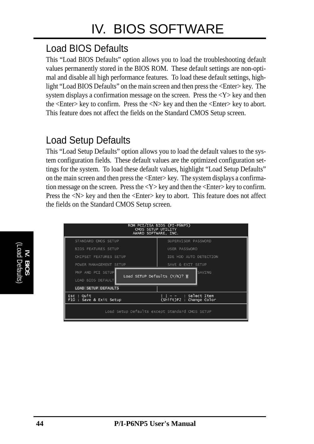### Load BIOS Defaults

This "Load BIOS Defaults" option allows you to load the troubleshooting default values permanently stored in the BIOS ROM. These default settings are non-optimal and disable all high performance features. To load these default settings, highlight "Load BIOS Defaults" on the main screen and then press the <Enter> key. The system displays a confirmation message on the screen. Press the  $\langle Y \rangle$  key and then the  $\leq$ Enter $\geq$  key to confirm. Press the  $\leq$ N $\geq$  key and then the  $\leq$ Enter $\geq$  key to abort. This feature does not affect the fields on the Standard CMOS Setup screen.

### Load Setup Defaults

This "Load Setup Defaults" option allows you to load the default values to the system configuration fields. These default values are the optimized configuration settings for the system. To load these default values, highlight "Load Setup Defaults" on the main screen and then press the <Enter> key. The system displays a confirmation message on the screen. Press the  $\langle Y \rangle$  key and then the  $\langle$ Enter $\rangle$  key to confirm. Press the  $\langle N \rangle$  key and then the  $\langle$ Enter $\rangle$  key to abort. This feature does not affect the fields on the Standard CMOS Setup screen.

| ROM PCI/ISA BIOS (PI-P6NP5)<br>CMOS SETUP UTILITY<br>AWARD SOFTWARE, INC.        |                                                                      |  |  |
|----------------------------------------------------------------------------------|----------------------------------------------------------------------|--|--|
| STANDARD CMOS SETUP                                                              | SUPERVISOR PASSWORD                                                  |  |  |
| <b>BIOS FEATURES SETUP</b>                                                       | USER PASSWORD                                                        |  |  |
| CHIPSET FEATURES SETUP                                                           | IDE HDD AUTO DETECTION                                               |  |  |
| POWER MANAGEMENT SETUP                                                           | SAVE & EXIT SETUP                                                    |  |  |
| SAVING<br>PNP AND PCI SETUP<br>Load SETUP Defaults (Y/N)? Y<br>LOAD BIOS DEFAULT |                                                                      |  |  |
| LOAD SETUP DEFAULTS                                                              |                                                                      |  |  |
| Esc : Quit<br>F10 : Save & Exit Setup                                            | $\rightarrow$ $\leftarrow$ : Select Item<br>(Shift)F2 : Change Color |  |  |
| Load Setup Defaults except Standard CMOS SETUP                                   |                                                                      |  |  |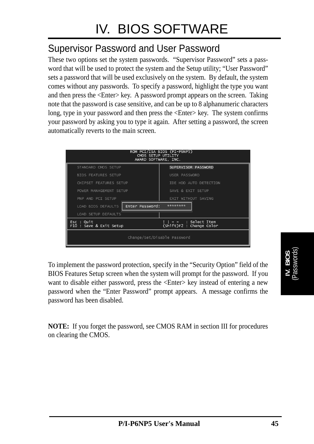### Supervisor Password and User Password

These two options set the system passwords. "Supervisor Password" sets a password that will be used to protect the system and the Setup utility; "User Password" sets a password that will be used exclusively on the system. By default, the system comes without any passwords. To specify a password, highlight the type you want and then press the <Enter> key. A password prompt appears on the screen. Taking note that the password is case sensitive, and can be up to 8 alphanumeric characters long, type in your password and then press the  $\leq$  Enter $\geq$  key. The system confirms your password by asking you to type it again. After setting a password, the screen automatically reverts to the main screen.

| ROM PCI/ISA BIOS (PI-P6NP5)<br>CMOS SETUP UTILITY<br>AWARD SOFTWARE, INC. |                                                     |  |  |
|---------------------------------------------------------------------------|-----------------------------------------------------|--|--|
| STANDARD CMOS SETUP                                                       | SUPERVISOR PASSWORD                                 |  |  |
| <b>BIOS FEATURES SETUP</b>                                                | USER PASSWORD                                       |  |  |
| CHIPSET FEATURES SETUP                                                    | IDE HDD AUTO DETECTION                              |  |  |
| POWER MANAGEMENT SETUP                                                    | SAVE & EXIT SETUP                                   |  |  |
| PNP AND PCI SETUP                                                         | EXIT WITHOUT SAVING                                 |  |  |
| Enter Password:<br>LOAD BIOS DEFAULTS                                     | ********                                            |  |  |
| LOAD SETUP DEFAULTS                                                       |                                                     |  |  |
| Esc : Quit<br>F10 : Save & Exit Setup                                     | 1 ↓ → ←   : Select Item<br>(Shift)F2 : Change Color |  |  |
| Change/Set/Disable Password                                               |                                                     |  |  |

To implement the password protection, specify in the "Security Option" field of the BIOS Features Setup screen when the system will prompt for the password. If you want to disable either password, press the <Enter> key instead of entering a new password when the "Enter Password" prompt appears. A message confirms the password has been disabled.

**NOTE:** If you forget the password, see CMOS RAM in section III for procedures on clearing the CMOS.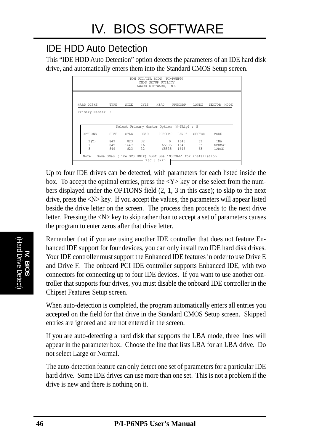### IDE HDD Auto Detection

This "IDE HDD Auto Detection" option detects the parameters of an IDE hard disk drive, and automatically enters them into the Standard CMOS Setup screen.



Up to four IDE drives can be detected, with parameters for each listed inside the box. To accept the optimal entries, press the  $\langle Y \rangle$  key or else select from the numbers displayed under the OPTIONS field (2, 1, 3 in this case); to skip to the next drive, press the  $\langle N \rangle$  key. If you accept the values, the parameters will appear listed beside the drive letter on the screen. The process then proceeds to the next drive letter. Pressing the  $\langle N \rangle$  key to skip rather than to accept a set of parameters causes the program to enter zeros after that drive letter.

Remember that if you are using another IDE controller that does not feature Enhanced IDE support for four devices, you can only install two IDE hard disk drives. Your IDE controller must support the Enhanced IDE features in order to use Drive E and Drive F. The onboard PCI IDE controller supports Enhanced IDE, with two connectors for connecting up to four IDE devices. If you want to use another controller that supports four drives, you must disable the onboard IDE controller in the Chipset Features Setup screen.

When auto-detection is completed, the program automatically enters all entries you accepted on the field for that drive in the Standard CMOS Setup screen. Skipped entries are ignored and are not entered in the screen.

If you are auto-detecting a hard disk that supports the LBA mode, three lines will appear in the parameter box. Choose the line that lists LBA for an LBA drive. Do not select Large or Normal.

The auto-detection feature can only detect one set of parameters for a particular IDE hard drive. Some IDE drives can use more than one set. This is not a problem if the drive is new and there is nothing on it.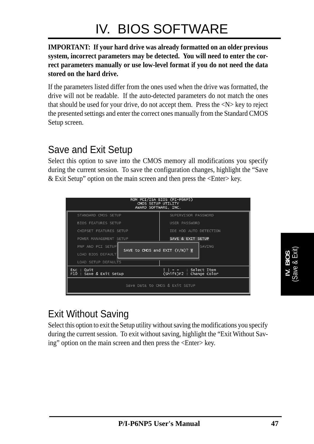**IMPORTANT: If your hard drive was already formatted on an older previous system, incorrect parameters may be detected. You will need to enter the correct parameters manually or use low-level format if you do not need the data stored on the hard drive.**

If the parameters listed differ from the ones used when the drive was formatted, the drive will not be readable. If the auto-detected parameters do not match the ones that should be used for your drive, do not accept them. Press the  $\langle N \rangle$  key to reject the presented settings and enter the correct ones manually from the Standard CMOS Setup screen.

### Save and Exit Setup

Select this option to save into the CMOS memory all modifications you specify during the current session. To save the configuration changes, highlight the "Save & Exit Setup" option on the main screen and then press the <Enter> key.

| ROM PCI/ISA BIOS (PI-P6NP5)<br>CMOS SETUP UTILITY<br>AWARD SOFTWARE, INC.            |                                                 |  |  |
|--------------------------------------------------------------------------------------|-------------------------------------------------|--|--|
| STANDARD CMOS SETUP                                                                  | SUPERVISOR PASSWORD                             |  |  |
| <b>BIOS FEATURES SETUP</b>                                                           | USER PASSWORD                                   |  |  |
| CHIPSET FEATURES SETUP                                                               | IDE HDD AUTO DETECTION                          |  |  |
| POWER MANAGEMENT SETUP                                                               | SAVE & EXIT SETUP                               |  |  |
| SAVING<br>PNP AND PCI SETUP<br>SAVE to CMOS and EXIT $(Y/N)?$ Y<br>LOAD BIOS DEFAULT |                                                 |  |  |
| LOAD SETUP DEFAULTS                                                                  |                                                 |  |  |
| Esc : Quit<br>F10 : Save & Exit Setup                                                | ↓ → ← : Select_Item<br>(Shift)F2 : Change Color |  |  |
| Save Data to CMOS & Exit SETUP                                                       |                                                 |  |  |

### Exit Without Saving

Select this option to exit the Setup utility without saving the modifications you specify during the current session. To exit without saving, highlight the "Exit Without Saving" option on the main screen and then press the <Enter> key.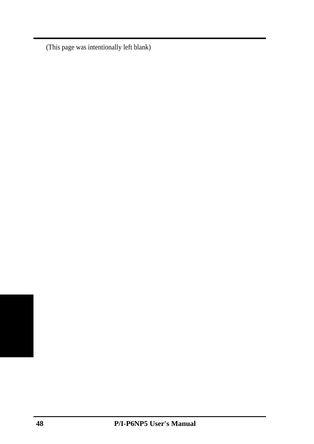(This page was intentionally left blank)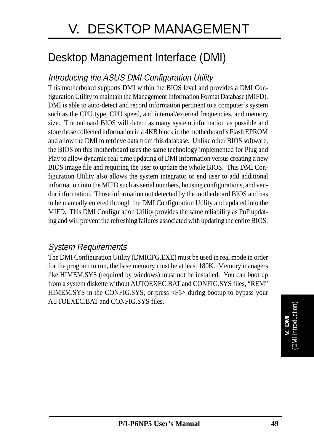### Desktop Management Interface (DMI)

### Introducing the ASUS DMI Configuration Utility

This motherboard supports DMI within the BIOS level and provides a DMI Configuration Utility to maintain the Management Information Format Database (MIFD). DMI is able to auto-detect and record information pertinent to a computer's system such as the CPU type, CPU speed, and internal/external frequencies, and memory size. The onboard BIOS will detect as many system information as possible and store those collected information in a 4KB block in the motherboard's Flash EPROM and allow the DMI to retrieve data from this database. Unlike other BIOS software, the BIOS on this motherboard uses the same technology implemented for Plug and Play to allow dynamic real-time updating of DMI information versus creating a new BIOS image file and requiring the user to update the whole BIOS. This DMI Configuration Utility also allows the system integrator or end user to add additional information into the MIFD such as serial numbers, housing configurations, and vendor information. Those information not detected by the motherboard BIOS and has to be manually entered through the DMI Configuration Utility and updated into the MIFD. This DMI Configuration Utility provides the same reliability as PnP updating and will prevent the refreshing failures associated with updating the entire BIOS.

#### System Requirements

The DMI Configuration Utility (DMICFG.EXE) must be used in real mode in order for the program to run, the base memory must be at least 180K. Memory managers like HIMEM.SYS (required by windows) must not be installed. You can boot up from a system diskette without AUTOEXEC.BAT and CONFIG.SYS files, "REM" HIMEM.SYS in the CONFIG.SYS, or press <F5> during bootup to bypass your AUTOEXEC.BAT and CONFIG.SYS files.

**V. DMI** (DMI Introduction)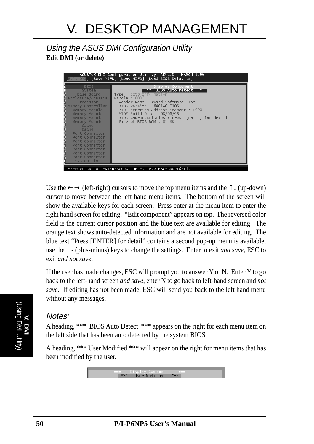#### Using the ASUS DMI Configuration Utility **Edit DMI (or delete)**



Use the  $\leftarrow \rightarrow$  (left-right) cursors to move the top menu items and the  $\uparrow \downarrow$  (up-down) cursor to move between the left hand menu items. The bottom of the screen will show the available keys for each screen. Press enter at the menu item to enter the right hand screen for editing. "Edit component" appears on top. The reversed color field is the current cursor position and the blue text are available for editing. The orange text shows auto-detected information and are not available for editing. The blue text "Press [ENTER] for detail" contains a second pop-up menu is available, use the + - (plus-minus) keys to change the settings. Enter to exit *and save*, ESC to exit *and not save*.

If the user has made changes, ESC will prompt you to answer Y or N. Enter Y to go back to the left-hand screen *and save*, enter N to go back to left-hand screen and *not save*. If editing has not been made, ESC will send you back to the left hand menu without any messages.

#### Notes:

A heading, \*\*\* BIOS Auto Detect \*\*\* appears on the right for each menu item on the left side that has been auto detected by the system BIOS.

A heading, \*\*\* User Modified \*\*\* will appear on the right for menu items that has been modified by the user.

\*\*\* Display Component<br>\*\*\* User Modified \*\*\*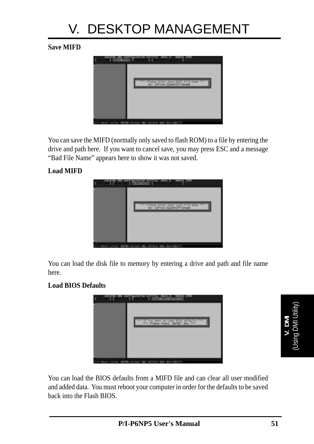# V. DESKTOP MANAGEMENT

**Save MIFD**



You can save the MIFD (normally only saved to flash ROM) to a file by entering the drive and path here. If you want to cancel save, you may press ESC and a message "Bad File Name" appears here to show it was not saved.

#### **Load MIFD**



You can load the disk file to memory by entering a drive and path and file name here.

#### **Load BIOS Defaults**



(Using DMI Utility)Jsing DMI Utili **V. DMI**

You can load the BIOS defaults from a MIFD file and can clear all user modified and added data. You must reboot your computer in order for the defaults to be saved back into the Flash BIOS.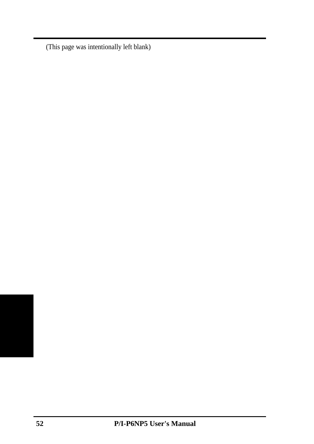(This page was intentionally left blank)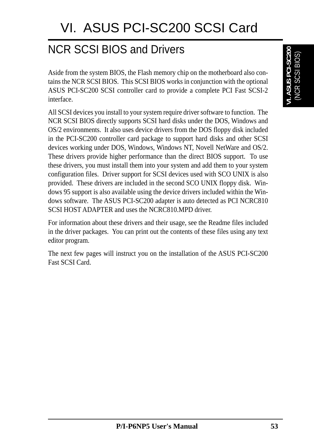### NCR SCSI BIOS and Drivers

Aside from the system BIOS, the Flash memory chip on the motherboard also contains the NCR SCSI BIOS. This SCSI BIOS works in conjunction with the optional ASUS PCI-SC200 SCSI controller card to provide a complete PCI Fast SCSI-2 interface.

All SCSI devices you install to your system require driver software to function. The NCR SCSI BIOS directly supports SCSI hard disks under the DOS, Windows and OS/2 environments. It also uses device drivers from the DOS floppy disk included in the PCI-SC200 controller card package to support hard disks and other SCSI devices working under DOS, Windows, Windows NT, Novell NetWare and OS/2. These drivers provide higher performance than the direct BIOS support. To use these drivers, you must install them into your system and add them to your system configuration files. Driver support for SCSI devices used with SCO UNIX is also provided. These drivers are included in the second SCO UNIX floppy disk. Windows 95 support is also available using the device drivers included within the Windows software. The ASUS PCI-SC200 adapter is auto detected as PCI NCRC810 SCSI HOST ADAPTER and uses the NCRC810.MPD driver.

For information about these drivers and their usage, see the Readme files included in the driver packages. You can print out the contents of these files using any text editor program.

The next few pages will instruct you on the installation of the ASUS PCI-SC200 Fast SCSI Card.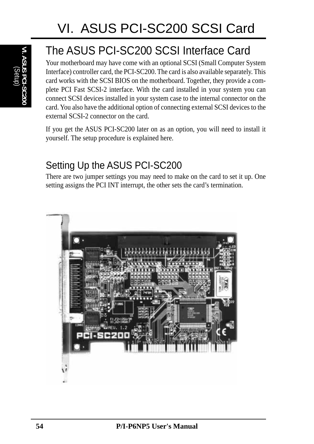### The ASUS PCI-SC200 SCSI Interface Card

Your motherboard may have come with an optional SCSI (Small Computer System Interface) controller card, the PCI-SC200. The card is also available separately. This card works with the SCSI BIOS on the motherboard. Together, they provide a complete PCI Fast SCSI-2 interface. With the card installed in your system you can connect SCSI devices installed in your system case to the internal connector on the card. You also have the additional option of connecting external SCSI devices to the external SCSI-2 connector on the card.

If you get the ASUS PCI-SC200 later on as an option, you will need to install it yourself. The setup procedure is explained here.

### Setting Up the ASUS PCI-SC200

There are two jumper settings you may need to make on the card to set it up. One setting assigns the PCI INT interrupt, the other sets the card's termination.

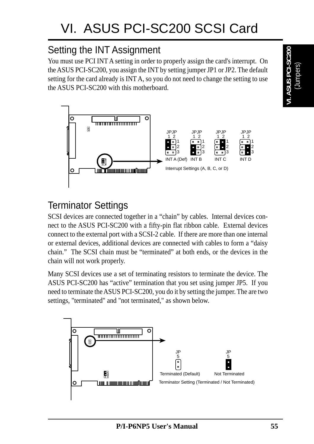### Setting the INT Assignment

You must use PCI INT A setting in order to properly assign the card's interrupt. On the ASUS PCI-SC200, you assign the INT by setting jumper JP1 or JP2. The default setting for the card already is INT A, so you do not need to change the setting to use the ASUS PCI-SC200 with this motherboard.



### Terminator Settings

SCSI devices are connected together in a "chain" by cables. Internal devices connect to the ASUS PCI-SC200 with a fifty-pin flat ribbon cable. External devices connect to the external port with a SCSI-2 cable. If there are more than one internal or external devices, additional devices are connected with cables to form a "daisy chain." The SCSI chain must be "terminated" at both ends, or the devices in the chain will not work properly.

Many SCSI devices use a set of terminating resistors to terminate the device. The ASUS PCI-SC200 has "active" termination that you set using jumper JP5. If you need to terminate the ASUS PCI-SC200, you do it by setting the jumper. The are two settings, "terminated" and "not terminated," as shown below.

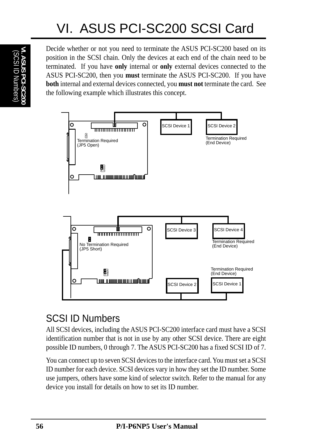# VI. ASUS PCI-SC200 SCSI Card

**VI. ASUS PCI-SC200** (SCSI ID Numbers)

Decide whether or not you need to terminate the ASUS PCI-SC200 based on its position in the SCSI chain. Only the devices at each end of the chain need to be terminated. If you have **only** internal or **only** external devices connected to the ASUS PCI-SC200, then you **must** terminate the ASUS PCI-SC200. If you have **both** internal and external devices connected, you **must not** terminate the card. See the following example which illustrates this concept.



### SCSI ID Numbers

All SCSI devices, including the ASUS PCI-SC200 interface card must have a SCSI identification number that is not in use by any other SCSI device. There are eight possible ID numbers, 0 through 7. The ASUS PCI-SC200 has a fixed SCSI ID of 7.

You can connect up to seven SCSI devices to the interface card. You must set a SCSI ID number for each device. SCSI devices vary in how they set the ID number. Some use jumpers, others have some kind of selector switch. Refer to the manual for any device you install for details on how to set its ID number.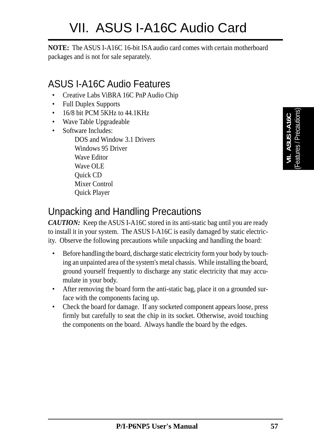# VII. ASUS I-A16C Audio Card

**NOTE:** The ASUS I-A16C 16-bit ISA audio card comes with certain motherboard packages and is not for sale separately.

### ASUS I-A16C Audio Features

- Creative Labs ViBRA 16C PnP Audio Chip
- Full Duplex Supports
- 16/8 bit PCM 5KHz to 44.1KHz
- Wave Table Upgradeable
- Software Includes:

DOS and Window 3.1 Drivers Windows 95 Driver Wave Editor Wave OLE Quick CD Mixer Control Quick Player

### Unpacking and Handling Precautions

*CAUTION*: Keep the ASUS I-A16C stored in its anti-static bag until you are ready to install it in your system. The ASUS I-A16C is easily damaged by static electricity. Observe the following precautions while unpacking and handling the board:

- Before handling the board, discharge static electricity form your body by touching an unpainted area of the system's metal chassis. While installing the board, ground yourself frequently to discharge any static electricity that may accumulate in your body.
- After removing the board form the anti-static bag, place it on a grounded surface with the components facing up.
- Check the board for damage. If any socketed component appears loose, press firmly but carefully to seat the chip in its socket. Otherwise, avoid touching the components on the board. Always handle the board by the edges.